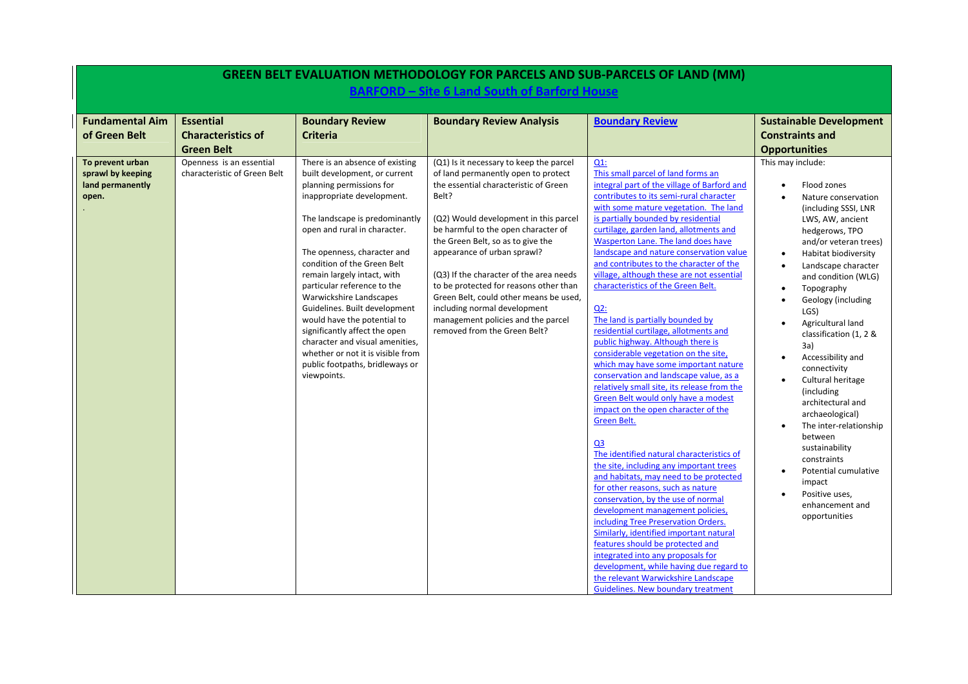|                                                                    |                                                                    |                                                                                                                                                                                                                                                                                                                                                                                                                                                                                                                                                                                | <b>GREEN BELT EVALUATION METHODOLOGY FOR PARCELS AND SUB-PARCELS OF LAND (MM)</b>                                                                                                                                                                                                                                                                                                                                                                                                                                         |                                                                                                                                                                                                                                                                                                                                                                                                                                                                                                                                                                                                                                                                                                                                                                                                                                                                                                                                                                                                                                                                                                                                                                                                                                                                                                                                                                                                                                                |                                                                                                                                                                                                                                                                                                                                                                                                                                                                                                                                                                                                                                             |
|--------------------------------------------------------------------|--------------------------------------------------------------------|--------------------------------------------------------------------------------------------------------------------------------------------------------------------------------------------------------------------------------------------------------------------------------------------------------------------------------------------------------------------------------------------------------------------------------------------------------------------------------------------------------------------------------------------------------------------------------|---------------------------------------------------------------------------------------------------------------------------------------------------------------------------------------------------------------------------------------------------------------------------------------------------------------------------------------------------------------------------------------------------------------------------------------------------------------------------------------------------------------------------|------------------------------------------------------------------------------------------------------------------------------------------------------------------------------------------------------------------------------------------------------------------------------------------------------------------------------------------------------------------------------------------------------------------------------------------------------------------------------------------------------------------------------------------------------------------------------------------------------------------------------------------------------------------------------------------------------------------------------------------------------------------------------------------------------------------------------------------------------------------------------------------------------------------------------------------------------------------------------------------------------------------------------------------------------------------------------------------------------------------------------------------------------------------------------------------------------------------------------------------------------------------------------------------------------------------------------------------------------------------------------------------------------------------------------------------------|---------------------------------------------------------------------------------------------------------------------------------------------------------------------------------------------------------------------------------------------------------------------------------------------------------------------------------------------------------------------------------------------------------------------------------------------------------------------------------------------------------------------------------------------------------------------------------------------------------------------------------------------|
|                                                                    |                                                                    |                                                                                                                                                                                                                                                                                                                                                                                                                                                                                                                                                                                | <b>BARFORD - Site 6 Land South of Barford House</b>                                                                                                                                                                                                                                                                                                                                                                                                                                                                       |                                                                                                                                                                                                                                                                                                                                                                                                                                                                                                                                                                                                                                                                                                                                                                                                                                                                                                                                                                                                                                                                                                                                                                                                                                                                                                                                                                                                                                                |                                                                                                                                                                                                                                                                                                                                                                                                                                                                                                                                                                                                                                             |
| <b>Fundamental Aim</b><br>of Green Belt                            | <b>Essential</b><br><b>Characteristics of</b><br><b>Green Belt</b> | <b>Boundary Review</b><br><b>Criteria</b>                                                                                                                                                                                                                                                                                                                                                                                                                                                                                                                                      | <b>Boundary Review Analysis</b>                                                                                                                                                                                                                                                                                                                                                                                                                                                                                           | <b>Boundary Review</b>                                                                                                                                                                                                                                                                                                                                                                                                                                                                                                                                                                                                                                                                                                                                                                                                                                                                                                                                                                                                                                                                                                                                                                                                                                                                                                                                                                                                                         | <b>Sustainable Development</b><br><b>Constraints and</b><br><b>Opportunities</b>                                                                                                                                                                                                                                                                                                                                                                                                                                                                                                                                                            |
| To prevent urban<br>sprawl by keeping<br>land permanently<br>open. | Openness is an essential<br>characteristic of Green Belt           | There is an absence of existing<br>built development, or current<br>planning permissions for<br>inappropriate development.<br>The landscape is predominantly<br>open and rural in character.<br>The openness, character and<br>condition of the Green Belt<br>remain largely intact, with<br>particular reference to the<br>Warwickshire Landscapes<br>Guidelines. Built development<br>would have the potential to<br>significantly affect the open<br>character and visual amenities,<br>whether or not it is visible from<br>public footpaths, bridleways or<br>viewpoints. | (Q1) Is it necessary to keep the parcel<br>of land permanently open to protect<br>the essential characteristic of Green<br>Belt?<br>(Q2) Would development in this parcel<br>be harmful to the open character of<br>the Green Belt, so as to give the<br>appearance of urban sprawl?<br>(Q3) If the character of the area needs<br>to be protected for reasons other than<br>Green Belt, could other means be used,<br>including normal development<br>management policies and the parcel<br>removed from the Green Belt? | $Q1$ :<br>This small parcel of land forms an<br>integral part of the village of Barford and<br>contributes to its semi-rural character<br>with some mature vegetation. The land<br>is partially bounded by residential<br>curtilage, garden land, allotments and<br>Wasperton Lane. The land does have<br>landscape and nature conservation value<br>and contributes to the character of the<br>village, although these are not essential<br>characteristics of the Green Belt.<br>$Q2$ :<br>The land is partially bounded by<br>residential curtilage, allotments and<br>public highway. Although there is<br>considerable vegetation on the site,<br>which may have some important nature<br>conservation and landscape value, as a<br>relatively small site, its release from the<br>Green Belt would only have a modest<br>impact on the open character of the<br>Green Belt.<br>Q <sub>3</sub><br>The identified natural characteristics of<br>the site, including any important trees<br>and habitats, may need to be protected<br>for other reasons, such as nature<br>conservation, by the use of normal<br>development management policies,<br>including Tree Preservation Orders.<br>Similarly, identified important natural<br>features should be protected and<br>integrated into any proposals for<br>development, while having due regard to<br>the relevant Warwickshire Landscape<br><b>Guidelines. New boundary treatment</b> | This may include:<br>Flood zones<br>$\bullet$<br>Nature conservation<br>(including SSSI, LNR<br>LWS, AW, ancient<br>hedgerows, TPO<br>and/or veteran trees)<br>Habitat biodiversity<br>$\bullet$<br>Landscape character<br>and condition (WLG)<br>Topography<br>Geology (including<br>LGS)<br>Agricultural land<br>classification (1, 2 &<br>3a)<br>Accessibility and<br>connectivity<br>Cultural heritage<br>(including<br>architectural and<br>archaeological)<br>The inter-relationship<br>$\bullet$<br>between<br>sustainability<br>constraints<br>Potential cumulative<br>impact<br>Positive uses,<br>enhancement and<br>opportunities |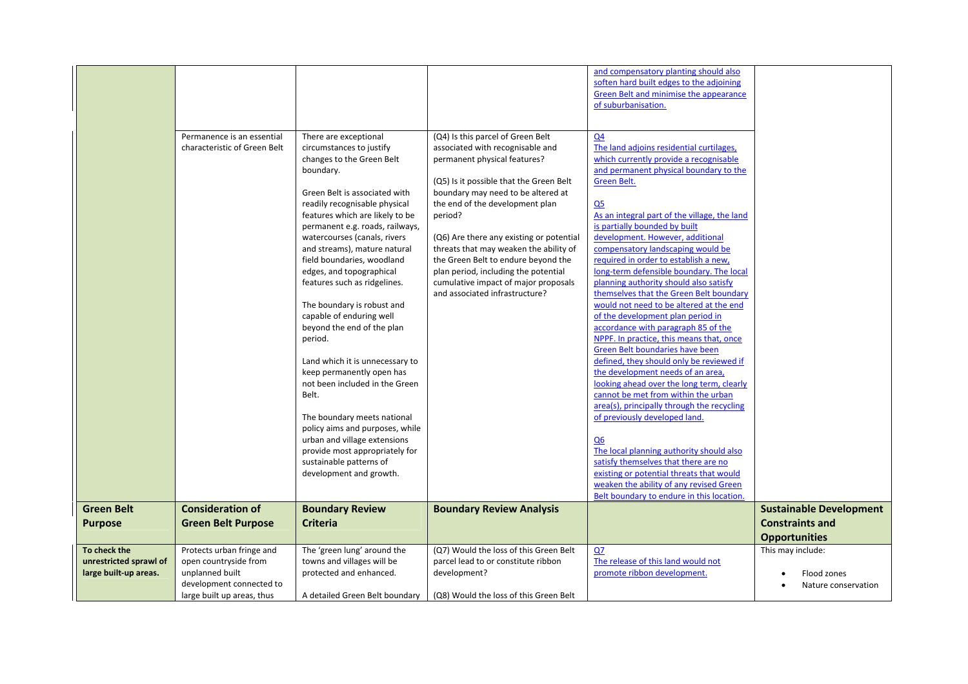|                                                                 | Permanence is an essential<br>characteristic of Green Belt                                                                      | There are exceptional<br>circumstances to justify<br>changes to the Green Belt<br>boundary.<br>Green Belt is associated with<br>readily recognisable physical<br>features which are likely to be<br>permanent e.g. roads, railways,<br>watercourses (canals, rivers<br>and streams), mature natural<br>field boundaries, woodland<br>edges, and topographical<br>features such as ridgelines.<br>The boundary is robust and<br>capable of enduring well<br>beyond the end of the plan<br>period.<br>Land which it is unnecessary to<br>keep permanently open has | (Q4) Is this parcel of Green Belt<br>associated with recognisable and<br>permanent physical features?<br>(Q5) Is it possible that the Green Belt<br>boundary may need to be altered at<br>the end of the development plan<br>period?<br>(Q6) Are there any existing or potential<br>threats that may weaken the ability of<br>the Green Belt to endure beyond the<br>plan period, including the potential<br>cumulative impact of major proposals<br>and associated infrastructure? | and compensatory planting should also<br>soften hard built edges to the adjoining<br>Green Belt and minimise the appearance<br>of suburbanisation.<br>Q <sub>4</sub><br>The land adjoins residential curtilages,<br>which currently provide a recognisable<br>and permanent physical boundary to the<br>Green Belt.<br>Q <sub>5</sub><br>As an integral part of the village, the land<br>is partially bounded by built<br>development. However, additional<br>compensatory landscaping would be<br>required in order to establish a new,<br>long-term defensible boundary. The local<br>planning authority should also satisfy<br>themselves that the Green Belt boundary<br>would not need to be altered at the end<br>of the development plan period in<br>accordance with paragraph 85 of the<br>NPPF. In practice, this means that, once<br>Green Belt boundaries have been<br>defined, they should only be reviewed if<br>the development needs of an area, |                                                          |
|-----------------------------------------------------------------|---------------------------------------------------------------------------------------------------------------------------------|------------------------------------------------------------------------------------------------------------------------------------------------------------------------------------------------------------------------------------------------------------------------------------------------------------------------------------------------------------------------------------------------------------------------------------------------------------------------------------------------------------------------------------------------------------------|-------------------------------------------------------------------------------------------------------------------------------------------------------------------------------------------------------------------------------------------------------------------------------------------------------------------------------------------------------------------------------------------------------------------------------------------------------------------------------------|------------------------------------------------------------------------------------------------------------------------------------------------------------------------------------------------------------------------------------------------------------------------------------------------------------------------------------------------------------------------------------------------------------------------------------------------------------------------------------------------------------------------------------------------------------------------------------------------------------------------------------------------------------------------------------------------------------------------------------------------------------------------------------------------------------------------------------------------------------------------------------------------------------------------------------------------------------------|----------------------------------------------------------|
|                                                                 |                                                                                                                                 | not been included in the Green<br>Belt.<br>The boundary meets national<br>policy aims and purposes, while<br>urban and village extensions<br>provide most appropriately for<br>sustainable patterns of<br>development and growth.                                                                                                                                                                                                                                                                                                                                |                                                                                                                                                                                                                                                                                                                                                                                                                                                                                     | looking ahead over the long term, clearly<br>cannot be met from within the urban<br>area(s), principally through the recycling<br>of previously developed land.<br>Q <sub>6</sub><br>The local planning authority should also<br>satisfy themselves that there are no<br>existing or potential threats that would<br>weaken the ability of any revised Green<br>Belt boundary to endure in this location.                                                                                                                                                                                                                                                                                                                                                                                                                                                                                                                                                        |                                                          |
| <b>Green Belt</b><br><b>Purpose</b>                             | <b>Consideration of</b><br><b>Green Belt Purpose</b>                                                                            | <b>Boundary Review</b><br><b>Criteria</b>                                                                                                                                                                                                                                                                                                                                                                                                                                                                                                                        | <b>Boundary Review Analysis</b>                                                                                                                                                                                                                                                                                                                                                                                                                                                     |                                                                                                                                                                                                                                                                                                                                                                                                                                                                                                                                                                                                                                                                                                                                                                                                                                                                                                                                                                  | <b>Sustainable Development</b><br><b>Constraints and</b> |
|                                                                 |                                                                                                                                 |                                                                                                                                                                                                                                                                                                                                                                                                                                                                                                                                                                  |                                                                                                                                                                                                                                                                                                                                                                                                                                                                                     |                                                                                                                                                                                                                                                                                                                                                                                                                                                                                                                                                                                                                                                                                                                                                                                                                                                                                                                                                                  | <b>Opportunities</b>                                     |
| To check the<br>unrestricted sprawl of<br>large built-up areas. | Protects urban fringe and<br>open countryside from<br>unplanned built<br>development connected to<br>large built up areas, thus | The 'green lung' around the<br>towns and villages will be<br>protected and enhanced.<br>A detailed Green Belt boundary                                                                                                                                                                                                                                                                                                                                                                                                                                           | (Q7) Would the loss of this Green Belt<br>parcel lead to or constitute ribbon<br>development?<br>(Q8) Would the loss of this Green Belt                                                                                                                                                                                                                                                                                                                                             | QZ<br>The release of this land would not<br>promote ribbon development.                                                                                                                                                                                                                                                                                                                                                                                                                                                                                                                                                                                                                                                                                                                                                                                                                                                                                          | This may include:<br>Flood zones<br>Nature conservation  |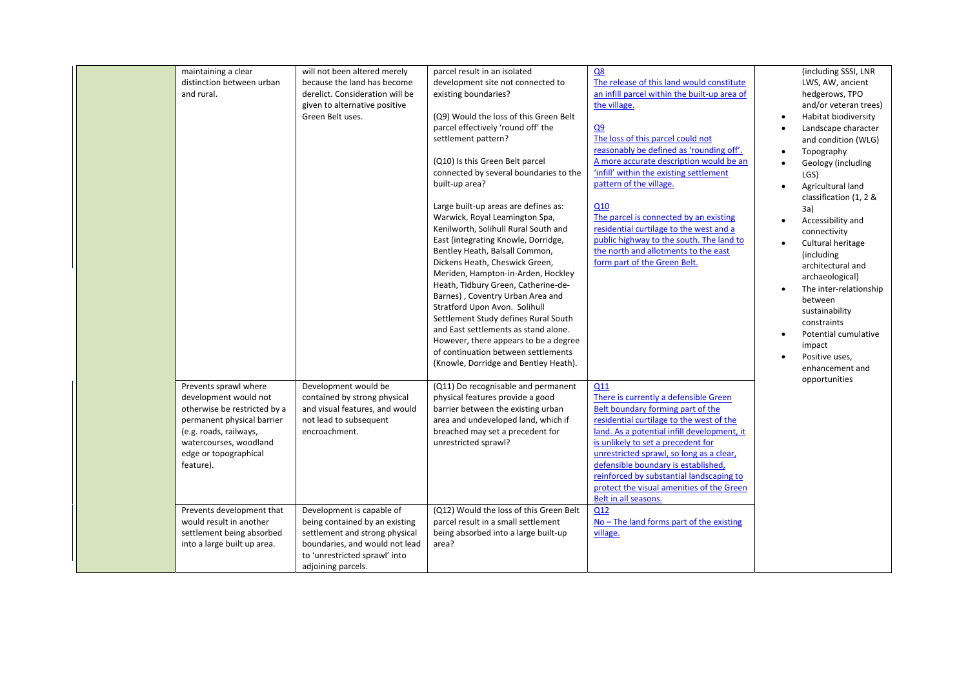|  | maintaining a clear<br>distinction between urban<br>and rural.                                                                                                                                         | will not been altered merely<br>because the land has become<br>derelict. Consideration will be<br>given to alternative positive<br>Green Belt uses.                                    | parcel result in an isolated<br>development site not connected to<br>existing boundaries?<br>(Q9) Would the loss of this Green Belt<br>parcel effectively 'round off' the<br>settlement pattern?<br>(Q10) Is this Green Belt parcel<br>connected by several boundaries to the<br>built-up area?<br>Large built-up areas are defines as:<br>Warwick, Royal Leamington Spa,<br>Kenilworth, Solihull Rural South and<br>East (integrating Knowle, Dorridge,<br>Bentley Heath, Balsall Common,<br>Dickens Heath, Cheswick Green,<br>Meriden, Hampton-in-Arden, Hockley<br>Heath, Tidbury Green, Catherine-de-<br>Barnes), Coventry Urban Area and<br>Stratford Upon Avon. Solihull<br>Settlement Study defines Rural South<br>and East settlements as stand alone.<br>However, there appears to be a degree<br>of continuation between settlements<br>(Knowle, Dorridge and Bentley Heath). | Q8<br>The release of this land would constitute<br>an infill parcel within the built-up area of<br>the village.<br>Q <sub>9</sub><br>The loss of this parcel could not<br>reasonably be defined as 'rounding off'.<br>A more accurate description would be an<br>'infill' within the existing settlement<br>pattern of the village.<br>Q10<br>The parcel is connected by an existing<br>residential curtilage to the west and a<br>public highway to the south. The land to<br>the north and allotments to the east<br>form part of the Green Belt. | (including SSSI, LNR<br>LWS, AW, ancient<br>hedgerows, TPO<br>and/or veteran trees)<br>Habitat biodiversity<br>$\bullet$<br>Landscape character<br>$\bullet$<br>and condition (WLG)<br>Topography<br>$\bullet$<br>Geology (including<br>$\bullet$<br>LGS)<br>Agricultural land<br>$\bullet$<br>classification (1, 2 &<br>3a)<br>Accessibility and<br>$\bullet$<br>connectivity<br>Cultural heritage<br>$\bullet$<br>(including<br>architectural and<br>archaeological)<br>The inter-relationship<br>$\bullet$<br>between<br>sustainability<br>constraints<br>Potential cumulative<br>$\bullet$<br>impact<br>Positive uses,<br>$\bullet$<br>enhancement and |
|--|--------------------------------------------------------------------------------------------------------------------------------------------------------------------------------------------------------|----------------------------------------------------------------------------------------------------------------------------------------------------------------------------------------|-----------------------------------------------------------------------------------------------------------------------------------------------------------------------------------------------------------------------------------------------------------------------------------------------------------------------------------------------------------------------------------------------------------------------------------------------------------------------------------------------------------------------------------------------------------------------------------------------------------------------------------------------------------------------------------------------------------------------------------------------------------------------------------------------------------------------------------------------------------------------------------------|-----------------------------------------------------------------------------------------------------------------------------------------------------------------------------------------------------------------------------------------------------------------------------------------------------------------------------------------------------------------------------------------------------------------------------------------------------------------------------------------------------------------------------------------------------|------------------------------------------------------------------------------------------------------------------------------------------------------------------------------------------------------------------------------------------------------------------------------------------------------------------------------------------------------------------------------------------------------------------------------------------------------------------------------------------------------------------------------------------------------------------------------------------------------------------------------------------------------------|
|  | Prevents sprawl where<br>development would not<br>otherwise be restricted by a<br>permanent physical barrier<br>(e.g. roads, railways,<br>watercourses, woodland<br>edge or topographical<br>feature). | Development would be<br>contained by strong physical<br>and visual features, and would<br>not lead to subsequent<br>encroachment.                                                      | (Q11) Do recognisable and permanent<br>physical features provide a good<br>barrier between the existing urban<br>area and undeveloped land, which if<br>breached may set a precedent for<br>unrestricted sprawl?                                                                                                                                                                                                                                                                                                                                                                                                                                                                                                                                                                                                                                                                        | Q11<br>There is currently a defensible Green<br>Belt boundary forming part of the<br>residential curtilage to the west of the<br>land. As a potential infill development, it<br>is unlikely to set a precedent for<br>unrestricted sprawl, so long as a clear,<br>defensible boundary is established,<br>reinforced by substantial landscaping to<br>protect the visual amenities of the Green<br>Belt in all seasons.                                                                                                                              | opportunities                                                                                                                                                                                                                                                                                                                                                                                                                                                                                                                                                                                                                                              |
|  | Prevents development that<br>would result in another<br>settlement being absorbed<br>into a large built up area.                                                                                       | Development is capable of<br>being contained by an existing<br>settlement and strong physical<br>boundaries, and would not lead<br>to 'unrestricted sprawl' into<br>adjoining parcels. | (Q12) Would the loss of this Green Belt<br>parcel result in a small settlement<br>being absorbed into a large built-up<br>area?                                                                                                                                                                                                                                                                                                                                                                                                                                                                                                                                                                                                                                                                                                                                                         | Q12<br>$No$ – The land forms part of the existing<br>village.                                                                                                                                                                                                                                                                                                                                                                                                                                                                                       |                                                                                                                                                                                                                                                                                                                                                                                                                                                                                                                                                                                                                                                            |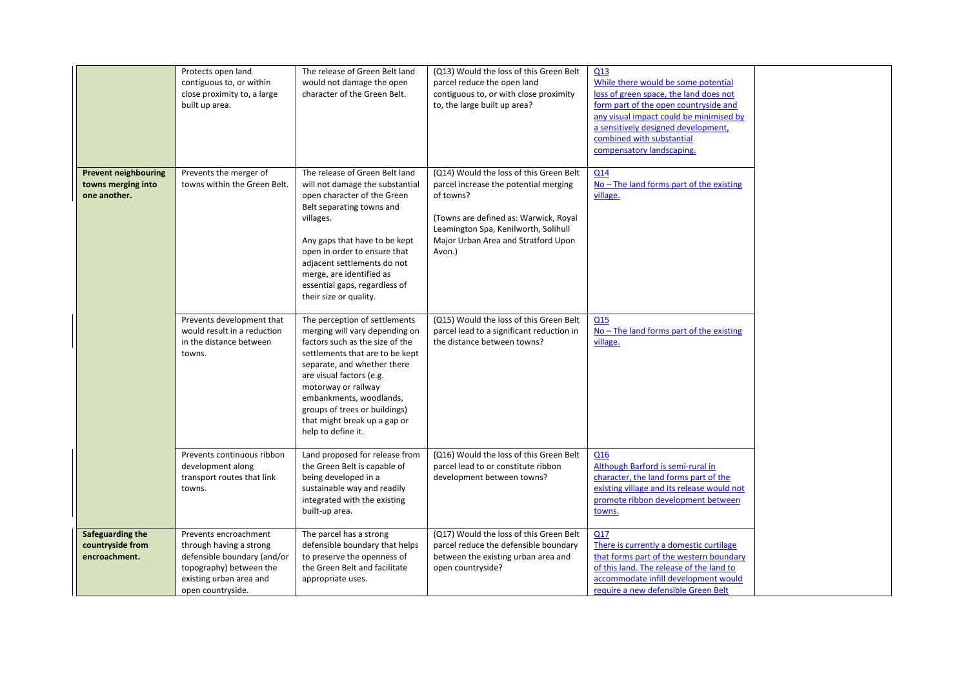|                                                                   | Protects open land<br>contiguous to, or within<br>close proximity to, a large<br>built up area.                                                            | The release of Green Belt land<br>would not damage the open<br>character of the Green Belt.                                                                                                                                                                                                                                               | (Q13) Would the loss of this Green Belt<br>parcel reduce the open land<br>contiguous to, or with close proximity<br>to, the large built up area?                                                                                | Q13<br>While there would be some potential<br>loss of green space, the land does not<br>form part of the open countryside and<br>any visual impact could be minimised by<br>a sensitively designed development,<br>combined with substantial<br>compensatory landscaping. |  |
|-------------------------------------------------------------------|------------------------------------------------------------------------------------------------------------------------------------------------------------|-------------------------------------------------------------------------------------------------------------------------------------------------------------------------------------------------------------------------------------------------------------------------------------------------------------------------------------------|---------------------------------------------------------------------------------------------------------------------------------------------------------------------------------------------------------------------------------|---------------------------------------------------------------------------------------------------------------------------------------------------------------------------------------------------------------------------------------------------------------------------|--|
| <b>Prevent neighbouring</b><br>towns merging into<br>one another. | Prevents the merger of<br>towns within the Green Belt.                                                                                                     | The release of Green Belt land<br>will not damage the substantial<br>open character of the Green<br>Belt separating towns and<br>villages.<br>Any gaps that have to be kept<br>open in order to ensure that<br>adjacent settlements do not<br>merge, are identified as<br>essential gaps, regardless of<br>their size or quality.         | (Q14) Would the loss of this Green Belt<br>parcel increase the potential merging<br>of towns?<br>(Towns are defined as: Warwick, Royal<br>Leamington Spa, Kenilworth, Solihull<br>Major Urban Area and Stratford Upon<br>Avon.) | Q14<br>$No$ – The land forms part of the existing<br>village.                                                                                                                                                                                                             |  |
|                                                                   | Prevents development that<br>would result in a reduction<br>in the distance between<br>towns.                                                              | The perception of settlements<br>merging will vary depending on<br>factors such as the size of the<br>settlements that are to be kept<br>separate, and whether there<br>are visual factors (e.g.<br>motorway or railway<br>embankments, woodlands,<br>groups of trees or buildings)<br>that might break up a gap or<br>help to define it. | (Q15) Would the loss of this Green Belt<br>parcel lead to a significant reduction in<br>the distance between towns?                                                                                                             | Q15<br>$No$ – The land forms part of the existing<br>village.                                                                                                                                                                                                             |  |
|                                                                   | Prevents continuous ribbon<br>development along<br>transport routes that link<br>towns.                                                                    | Land proposed for release from<br>the Green Belt is capable of<br>being developed in a<br>sustainable way and readily<br>integrated with the existing<br>built-up area.                                                                                                                                                                   | (Q16) Would the loss of this Green Belt<br>parcel lead to or constitute ribbon<br>development between towns?                                                                                                                    | Q16<br>Although Barford is semi-rural in<br>character, the land forms part of the<br>existing village and its release would not<br>promote ribbon development between<br>towns.                                                                                           |  |
| Safeguarding the<br>countryside from<br>encroachment.             | Prevents encroachment<br>through having a strong<br>defensible boundary (and/or<br>topography) between the<br>existing urban area and<br>open countryside. | The parcel has a strong<br>defensible boundary that helps<br>to preserve the openness of<br>the Green Belt and facilitate<br>appropriate uses.                                                                                                                                                                                            | (Q17) Would the loss of this Green Belt<br>parcel reduce the defensible boundary<br>between the existing urban area and<br>open countryside?                                                                                    | Q17<br>There is currently a domestic curtilage<br>that forms part of the western boundary<br>of this land. The release of the land to<br>accommodate infill development would<br>require a new defensible Green Belt                                                      |  |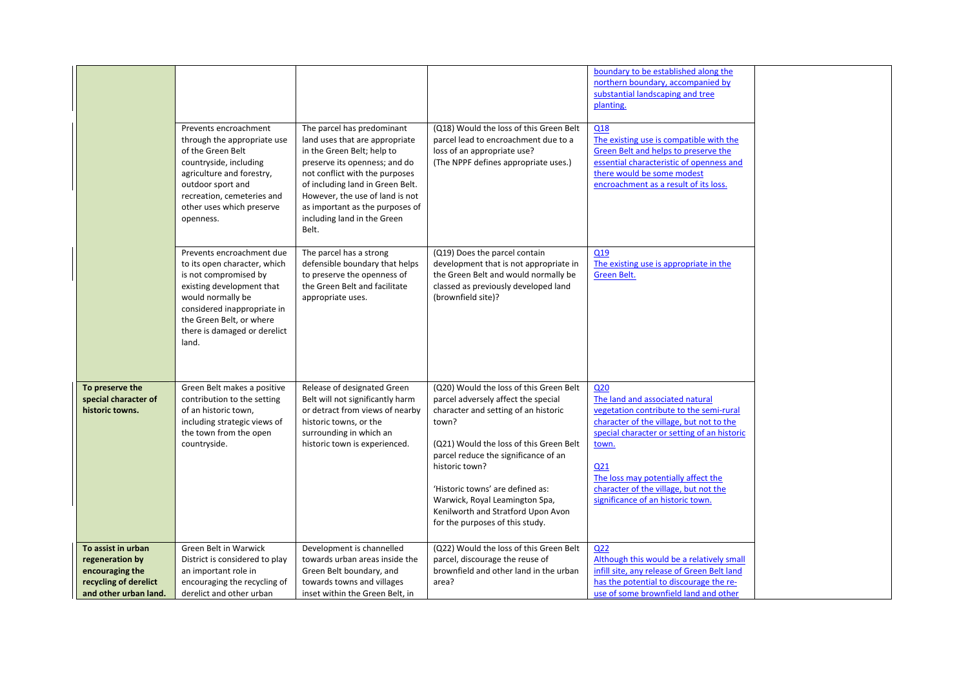|                                                                                                            | Prevents encroachment<br>through the appropriate use<br>of the Green Belt<br>countryside, including<br>agriculture and forestry,<br>outdoor sport and<br>recreation, cemeteries and<br>other uses which preserve<br>openness.            | The parcel has predominant<br>land uses that are appropriate<br>in the Green Belt; help to<br>preserve its openness; and do<br>not conflict with the purposes<br>of including land in Green Belt.<br>However, the use of land is not<br>as important as the purposes of<br>including land in the Green<br>Belt. | (Q18) Would the loss of this Green Belt<br>parcel lead to encroachment due to a<br>loss of an appropriate use?<br>(The NPPF defines appropriate uses.)                                                                                                                                                                                                                              | boundary to be established along the<br>northern boundary, accompanied by<br>substantial landscaping and tree<br>planting.<br>Q18<br>The existing use is compatible with the<br>Green Belt and helps to preserve the<br>essential characteristic of openness and<br>there would be some modest<br>encroachment as a result of its loss.   |  |
|------------------------------------------------------------------------------------------------------------|------------------------------------------------------------------------------------------------------------------------------------------------------------------------------------------------------------------------------------------|-----------------------------------------------------------------------------------------------------------------------------------------------------------------------------------------------------------------------------------------------------------------------------------------------------------------|-------------------------------------------------------------------------------------------------------------------------------------------------------------------------------------------------------------------------------------------------------------------------------------------------------------------------------------------------------------------------------------|-------------------------------------------------------------------------------------------------------------------------------------------------------------------------------------------------------------------------------------------------------------------------------------------------------------------------------------------|--|
|                                                                                                            | Prevents encroachment due<br>to its open character, which<br>is not compromised by<br>existing development that<br>would normally be<br>considered inappropriate in<br>the Green Belt, or where<br>there is damaged or derelict<br>land. | The parcel has a strong<br>defensible boundary that helps<br>to preserve the openness of<br>the Green Belt and facilitate<br>appropriate uses.                                                                                                                                                                  | (Q19) Does the parcel contain<br>development that is not appropriate in<br>the Green Belt and would normally be<br>classed as previously developed land<br>(brownfield site)?                                                                                                                                                                                                       | Q19<br>The existing use is appropriate in the<br>Green Belt.                                                                                                                                                                                                                                                                              |  |
| To preserve the<br>special character of<br>historic towns.                                                 | Green Belt makes a positive<br>contribution to the setting<br>of an historic town,<br>including strategic views of<br>the town from the open<br>countryside.                                                                             | Release of designated Green<br>Belt will not significantly harm<br>or detract from views of nearby<br>historic towns, or the<br>surrounding in which an<br>historic town is experienced.                                                                                                                        | (Q20) Would the loss of this Green Belt<br>parcel adversely affect the special<br>character and setting of an historic<br>town?<br>(Q21) Would the loss of this Green Belt<br>parcel reduce the significance of an<br>historic town?<br>'Historic towns' are defined as:<br>Warwick, Royal Leamington Spa,<br>Kenilworth and Stratford Upon Avon<br>for the purposes of this study. | Q <sub>20</sub><br>The land and associated natural<br>vegetation contribute to the semi-rural<br>character of the village, but not to the<br>special character or setting of an historic<br>town.<br>Q <sub>21</sub><br>The loss may potentially affect the<br>character of the village, but not the<br>significance of an historic town. |  |
| To assist in urban<br>regeneration by<br>encouraging the<br>recycling of derelict<br>and other urban land. | Green Belt in Warwick<br>District is considered to play<br>an important role in<br>encouraging the recycling of<br>derelict and other urban                                                                                              | Development is channelled<br>towards urban areas inside the<br>Green Belt boundary, and<br>towards towns and villages<br>inset within the Green Belt, in                                                                                                                                                        | (Q22) Would the loss of this Green Belt<br>parcel, discourage the reuse of<br>brownfield and other land in the urban<br>area?                                                                                                                                                                                                                                                       | Q <sub>22</sub><br>Although this would be a relatively small<br>infill site, any release of Green Belt land<br>has the potential to discourage the re-<br>use of some brownfield land and other                                                                                                                                           |  |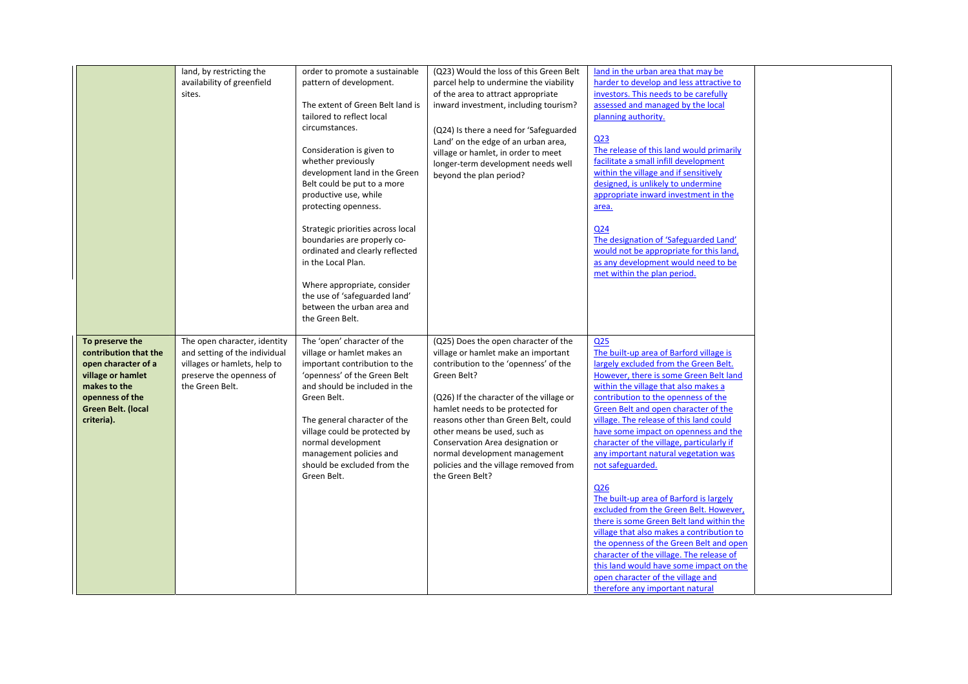|                                                                                                                                                             | land, by restricting the<br>availability of greenfield<br>sites.                                                                             | order to promote a sustainable<br>pattern of development.<br>The extent of Green Belt land is<br>tailored to reflect local<br>circumstances.<br>Consideration is given to<br>whether previously<br>development land in the Green<br>Belt could be put to a more<br>productive use, while                                                   | (Q23) Would the loss of this Green Belt<br>parcel help to undermine the viability<br>of the area to attract appropriate<br>inward investment, including tourism?<br>(Q24) Is there a need for 'Safeguarded<br>Land' on the edge of an urban area,<br>village or hamlet, in order to meet<br>longer-term development needs well<br>beyond the plan period?                                                                    | land in the urban area that may be<br>harder to develop and less attractive to<br>investors. This needs to be carefully<br>assessed and managed by the local<br>planning authority.<br>Q <sub>23</sub><br>The release of this land would primarily<br>facilitate a small infill development<br>within the village and if sensitively<br>designed, is unlikely to undermine<br>appropriate inward investment in the                                                                                                                                                                                                                                                                                                                                                                                                                                                          |  |
|-------------------------------------------------------------------------------------------------------------------------------------------------------------|----------------------------------------------------------------------------------------------------------------------------------------------|--------------------------------------------------------------------------------------------------------------------------------------------------------------------------------------------------------------------------------------------------------------------------------------------------------------------------------------------|------------------------------------------------------------------------------------------------------------------------------------------------------------------------------------------------------------------------------------------------------------------------------------------------------------------------------------------------------------------------------------------------------------------------------|-----------------------------------------------------------------------------------------------------------------------------------------------------------------------------------------------------------------------------------------------------------------------------------------------------------------------------------------------------------------------------------------------------------------------------------------------------------------------------------------------------------------------------------------------------------------------------------------------------------------------------------------------------------------------------------------------------------------------------------------------------------------------------------------------------------------------------------------------------------------------------|--|
|                                                                                                                                                             |                                                                                                                                              | protecting openness.<br>Strategic priorities across local<br>boundaries are properly co-<br>ordinated and clearly reflected<br>in the Local Plan.<br>Where appropriate, consider<br>the use of 'safeguarded land'<br>between the urban area and<br>the Green Belt.                                                                         |                                                                                                                                                                                                                                                                                                                                                                                                                              | area.<br>Q <sub>24</sub><br>The designation of 'Safeguarded Land'<br>would not be appropriate for this land,<br>as any development would need to be<br>met within the plan period.                                                                                                                                                                                                                                                                                                                                                                                                                                                                                                                                                                                                                                                                                          |  |
| To preserve the<br>contribution that the<br>open character of a<br>village or hamlet<br>makes to the<br>openness of the<br>Green Belt. (local<br>criteria). | The open character, identity<br>and setting of the individual<br>villages or hamlets, help to<br>preserve the openness of<br>the Green Belt. | The 'open' character of the<br>village or hamlet makes an<br>important contribution to the<br>'openness' of the Green Belt<br>and should be included in the<br>Green Belt.<br>The general character of the<br>village could be protected by<br>normal development<br>management policies and<br>should be excluded from the<br>Green Belt. | (Q25) Does the open character of the<br>village or hamlet make an important<br>contribution to the 'openness' of the<br>Green Belt?<br>(Q26) If the character of the village or<br>hamlet needs to be protected for<br>reasons other than Green Belt, could<br>other means be used, such as<br>Conservation Area designation or<br>normal development management<br>policies and the village removed from<br>the Green Belt? | Q <sub>25</sub><br>The built-up area of Barford village is<br>largely excluded from the Green Belt.<br>However, there is some Green Belt land<br>within the village that also makes a<br>contribution to the openness of the<br>Green Belt and open character of the<br>village. The release of this land could<br>have some impact on openness and the<br>character of the village, particularly if<br>any important natural vegetation was<br>not safeguarded.<br>Q <sub>26</sub><br>The built-up area of Barford is largely<br>excluded from the Green Belt. However,<br>there is some Green Belt land within the<br>village that also makes a contribution to<br>the openness of the Green Belt and open<br>character of the village. The release of<br>this land would have some impact on the<br>open character of the village and<br>therefore any important natural |  |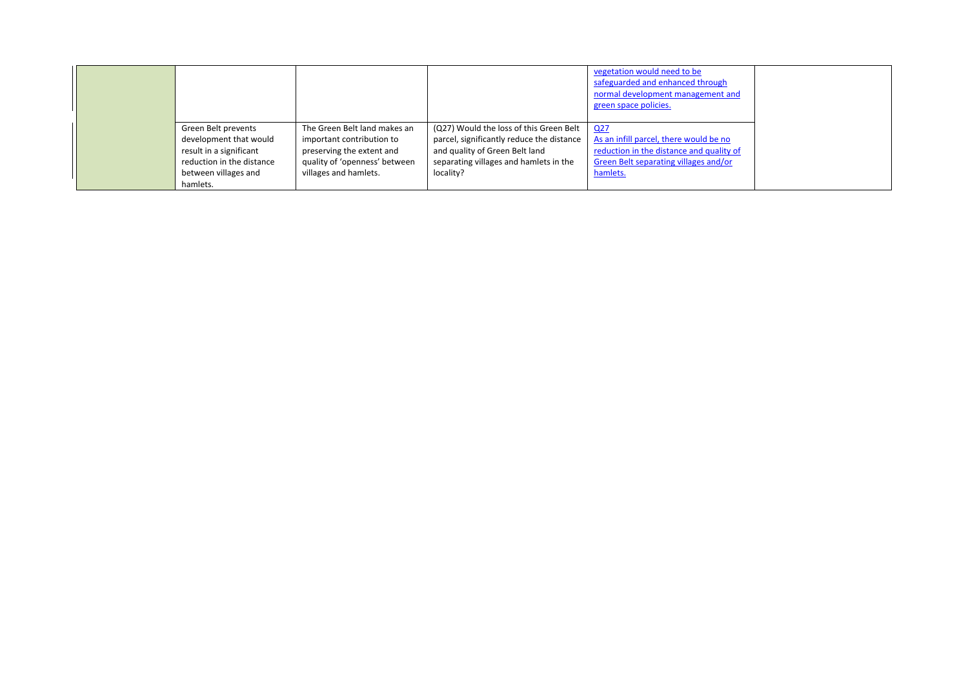|                           |                               |                                           | vegetation would need to be<br>safeguarded and enhanced through<br>normal development management and<br>green space policies. |  |
|---------------------------|-------------------------------|-------------------------------------------|-------------------------------------------------------------------------------------------------------------------------------|--|
| Green Belt prevents       | The Green Belt land makes an  | (Q27) Would the loss of this Green Belt   | Q27                                                                                                                           |  |
| development that would    | important contribution to     | parcel, significantly reduce the distance | As an infill parcel, there would be no                                                                                        |  |
| result in a significant   | preserving the extent and     | and quality of Green Belt land            | reduction in the distance and quality of                                                                                      |  |
| reduction in the distance | quality of 'openness' between | separating villages and hamlets in the    | Green Belt separating villages and/or                                                                                         |  |
| between villages and      | villages and hamlets.         | locality?                                 | hamlets.                                                                                                                      |  |
| hamlets.                  |                               |                                           |                                                                                                                               |  |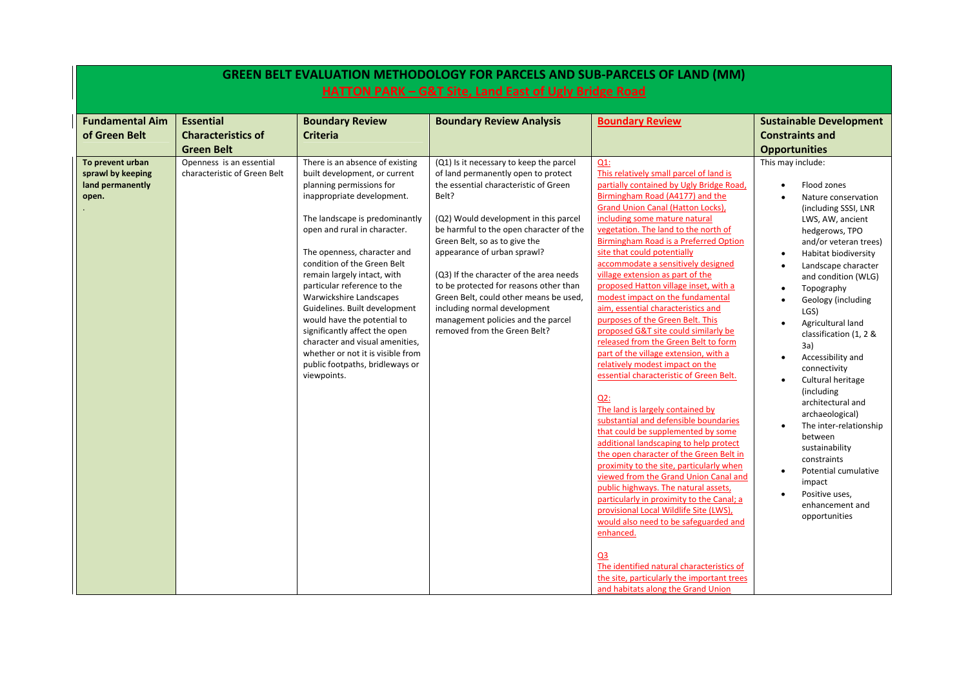|                                                                    | <b>GREEN BELT EVALUATION METHODOLOGY FOR PARCELS AND SUB-PARCELS OF LAND (MM)</b><br>HATTON PARK - G&T Site, Land East of Ugly Bridge Road |                                                                                                                                                                                                                                                                                                                                                                                                                                                                                                                                                                                |                                                                                                                                                                                                                                                                                                                                                                                                                                                                                                                           |                                                                                                                                                                                                                                                                                                                                                                                                                                                                                                                                                                                                                                                                                                                                                                                                                                                                                                                                                                                                                                                                                                                                                                                                                                                                                                               |                                                                                                                                                                                                                                                                                                                                                                                                                                                                                                                                                                                                                                                           |  |  |
|--------------------------------------------------------------------|--------------------------------------------------------------------------------------------------------------------------------------------|--------------------------------------------------------------------------------------------------------------------------------------------------------------------------------------------------------------------------------------------------------------------------------------------------------------------------------------------------------------------------------------------------------------------------------------------------------------------------------------------------------------------------------------------------------------------------------|---------------------------------------------------------------------------------------------------------------------------------------------------------------------------------------------------------------------------------------------------------------------------------------------------------------------------------------------------------------------------------------------------------------------------------------------------------------------------------------------------------------------------|---------------------------------------------------------------------------------------------------------------------------------------------------------------------------------------------------------------------------------------------------------------------------------------------------------------------------------------------------------------------------------------------------------------------------------------------------------------------------------------------------------------------------------------------------------------------------------------------------------------------------------------------------------------------------------------------------------------------------------------------------------------------------------------------------------------------------------------------------------------------------------------------------------------------------------------------------------------------------------------------------------------------------------------------------------------------------------------------------------------------------------------------------------------------------------------------------------------------------------------------------------------------------------------------------------------|-----------------------------------------------------------------------------------------------------------------------------------------------------------------------------------------------------------------------------------------------------------------------------------------------------------------------------------------------------------------------------------------------------------------------------------------------------------------------------------------------------------------------------------------------------------------------------------------------------------------------------------------------------------|--|--|
|                                                                    |                                                                                                                                            |                                                                                                                                                                                                                                                                                                                                                                                                                                                                                                                                                                                |                                                                                                                                                                                                                                                                                                                                                                                                                                                                                                                           |                                                                                                                                                                                                                                                                                                                                                                                                                                                                                                                                                                                                                                                                                                                                                                                                                                                                                                                                                                                                                                                                                                                                                                                                                                                                                                               |                                                                                                                                                                                                                                                                                                                                                                                                                                                                                                                                                                                                                                                           |  |  |
| <b>Fundamental Aim</b><br>of Green Belt                            | <b>Essential</b><br><b>Characteristics of</b><br><b>Green Belt</b>                                                                         | <b>Boundary Review</b><br><b>Criteria</b>                                                                                                                                                                                                                                                                                                                                                                                                                                                                                                                                      | <b>Boundary Review Analysis</b>                                                                                                                                                                                                                                                                                                                                                                                                                                                                                           | <b>Boundary Review</b>                                                                                                                                                                                                                                                                                                                                                                                                                                                                                                                                                                                                                                                                                                                                                                                                                                                                                                                                                                                                                                                                                                                                                                                                                                                                                        | <b>Sustainable Development</b><br><b>Constraints and</b><br><b>Opportunities</b>                                                                                                                                                                                                                                                                                                                                                                                                                                                                                                                                                                          |  |  |
| To prevent urban<br>sprawl by keeping<br>land permanently<br>open. | Openness is an essential<br>characteristic of Green Belt                                                                                   | There is an absence of existing<br>built development, or current<br>planning permissions for<br>inappropriate development.<br>The landscape is predominantly<br>open and rural in character.<br>The openness, character and<br>condition of the Green Belt<br>remain largely intact, with<br>particular reference to the<br>Warwickshire Landscapes<br>Guidelines. Built development<br>would have the potential to<br>significantly affect the open<br>character and visual amenities,<br>whether or not it is visible from<br>public footpaths, bridleways or<br>viewpoints. | (Q1) Is it necessary to keep the parcel<br>of land permanently open to protect<br>the essential characteristic of Green<br>Belt?<br>(Q2) Would development in this parcel<br>be harmful to the open character of the<br>Green Belt, so as to give the<br>appearance of urban sprawl?<br>(Q3) If the character of the area needs<br>to be protected for reasons other than<br>Green Belt, could other means be used,<br>including normal development<br>management policies and the parcel<br>removed from the Green Belt? | $Q1$ :<br>This relatively small parcel of land is<br>partially contained by Ugly Bridge Road,<br>Birmingham Road (A4177) and the<br>Grand Union Canal (Hatton Locks),<br>including some mature natural<br>vegetation. The land to the north of<br>Birmingham Road is a Preferred Option<br>site that could potentially<br>accommodate a sensitively designed<br>village extension as part of the<br>proposed Hatton village inset, with a<br>modest impact on the fundamental<br>aim, essential characteristics and<br>purposes of the Green Belt. This<br>proposed G&T site could similarly be<br>released from the Green Belt to form<br>part of the village extension, with a<br>relatively modest impact on the<br>essential characteristic of Green Belt.<br>$Q2$ :<br>The land is largely contained by<br>substantial and defensible boundaries<br>that could be supplemented by some<br>additional landscaping to help protect<br>the open character of the Green Belt in<br>proximity to the site, particularly when<br>viewed from the Grand Union Canal and<br>public highways. The natural assets,<br>particularly in proximity to the Canal; a<br>provisional Local Wildlife Site (LWS),<br>would also need to be safeguarded and<br>enhanced.<br>Q3<br>The identified natural characteristics of | This may include:<br>Flood zones<br>$\bullet$<br>Nature conservation<br>(including SSSI, LNR<br>LWS, AW, ancient<br>hedgerows, TPO<br>and/or veteran trees)<br>Habitat biodiversity<br>Landscape character<br>and condition (WLG)<br>Topography<br>$\bullet$<br>Geology (including<br>LGS)<br>Agricultural land<br>classification (1, 2 &<br>3a)<br>Accessibility and<br>$\bullet$<br>connectivity<br>Cultural heritage<br>(including)<br>architectural and<br>archaeological)<br>The inter-relationship<br>between<br>sustainability<br>constraints<br>Potential cumulative<br>$\bullet$<br>impact<br>Positive uses,<br>enhancement and<br>opportunities |  |  |
|                                                                    |                                                                                                                                            |                                                                                                                                                                                                                                                                                                                                                                                                                                                                                                                                                                                |                                                                                                                                                                                                                                                                                                                                                                                                                                                                                                                           | the site, particularly the important trees<br>and habitats along the Grand Union                                                                                                                                                                                                                                                                                                                                                                                                                                                                                                                                                                                                                                                                                                                                                                                                                                                                                                                                                                                                                                                                                                                                                                                                                              |                                                                                                                                                                                                                                                                                                                                                                                                                                                                                                                                                                                                                                                           |  |  |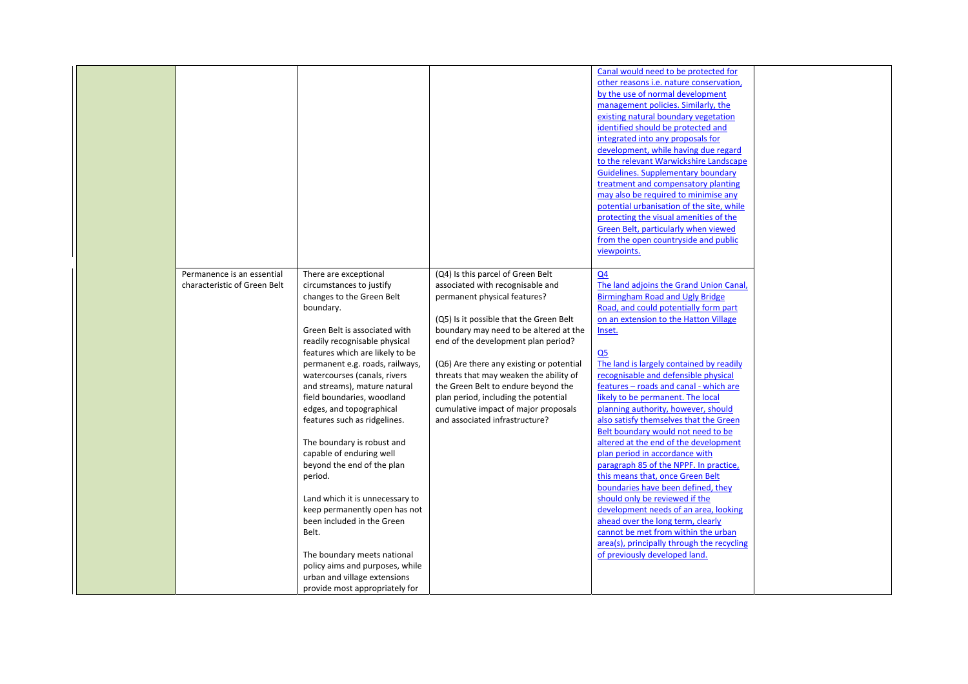|                              |                                 |                                          | Canal would need to be protected for        |  |
|------------------------------|---------------------------------|------------------------------------------|---------------------------------------------|--|
|                              |                                 |                                          | other reasons i.e. nature conservation,     |  |
|                              |                                 |                                          | by the use of normal development            |  |
|                              |                                 |                                          | management policies. Similarly, the         |  |
|                              |                                 |                                          | existing natural boundary vegetation        |  |
|                              |                                 |                                          | identified should be protected and          |  |
|                              |                                 |                                          | integrated into any proposals for           |  |
|                              |                                 |                                          | development, while having due regard        |  |
|                              |                                 |                                          | to the relevant Warwickshire Landscape      |  |
|                              |                                 |                                          | <b>Guidelines. Supplementary boundary</b>   |  |
|                              |                                 |                                          | treatment and compensatory planting         |  |
|                              |                                 |                                          | may also be required to minimise any        |  |
|                              |                                 |                                          | potential urbanisation of the site, while   |  |
|                              |                                 |                                          | protecting the visual amenities of the      |  |
|                              |                                 |                                          | <b>Green Belt, particularly when viewed</b> |  |
|                              |                                 |                                          | from the open countryside and public        |  |
|                              |                                 |                                          | viewpoints.                                 |  |
|                              |                                 |                                          |                                             |  |
| Permanence is an essential   | There are exceptional           | (Q4) Is this parcel of Green Belt        | Q <sub>4</sub>                              |  |
| characteristic of Green Belt | circumstances to justify        | associated with recognisable and         | The land adjoins the Grand Union Canal,     |  |
|                              | changes to the Green Belt       | permanent physical features?             | Birmingham Road and Ugly Bridge             |  |
|                              | boundary.                       |                                          | Road, and could potentially form part       |  |
|                              |                                 | (Q5) Is it possible that the Green Belt  | on an extension to the Hatton Village       |  |
|                              | Green Belt is associated with   | boundary may need to be altered at the   | Inset.                                      |  |
|                              | readily recognisable physical   | end of the development plan period?      |                                             |  |
|                              | features which are likely to be |                                          | Q <sub>5</sub>                              |  |
|                              | permanent e.g. roads, railways, | (Q6) Are there any existing or potential | The land is largely contained by readily    |  |
|                              | watercourses (canals, rivers    | threats that may weaken the ability of   | recognisable and defensible physical        |  |
|                              |                                 |                                          | features - roads and canal - which are      |  |
|                              | and streams), mature natural    | the Green Belt to endure beyond the      | likely to be permanent. The local           |  |
|                              | field boundaries, woodland      | plan period, including the potential     |                                             |  |
|                              | edges, and topographical        | cumulative impact of major proposals     | planning authority, however, should         |  |
|                              | features such as ridgelines.    | and associated infrastructure?           | also satisfy themselves that the Green      |  |
|                              |                                 |                                          | Belt boundary would not need to be          |  |
|                              | The boundary is robust and      |                                          | altered at the end of the development       |  |
|                              | capable of enduring well        |                                          | plan period in accordance with              |  |
|                              | beyond the end of the plan      |                                          | paragraph 85 of the NPPF. In practice,      |  |
|                              | period.                         |                                          | this means that, once Green Belt            |  |
|                              |                                 |                                          | boundaries have been defined, they          |  |
|                              | Land which it is unnecessary to |                                          | should only be reviewed if the              |  |
|                              | keep permanently open has not   |                                          | development needs of an area, looking       |  |
|                              | been included in the Green      |                                          | ahead over the long term, clearly           |  |
|                              | Belt.                           |                                          | cannot be met from within the urban         |  |
|                              |                                 |                                          | area(s), principally through the recycling  |  |
|                              | The boundary meets national     |                                          | of previously developed land.               |  |
|                              | policy aims and purposes, while |                                          |                                             |  |
|                              | urban and village extensions    |                                          |                                             |  |
|                              | provide most appropriately for  |                                          |                                             |  |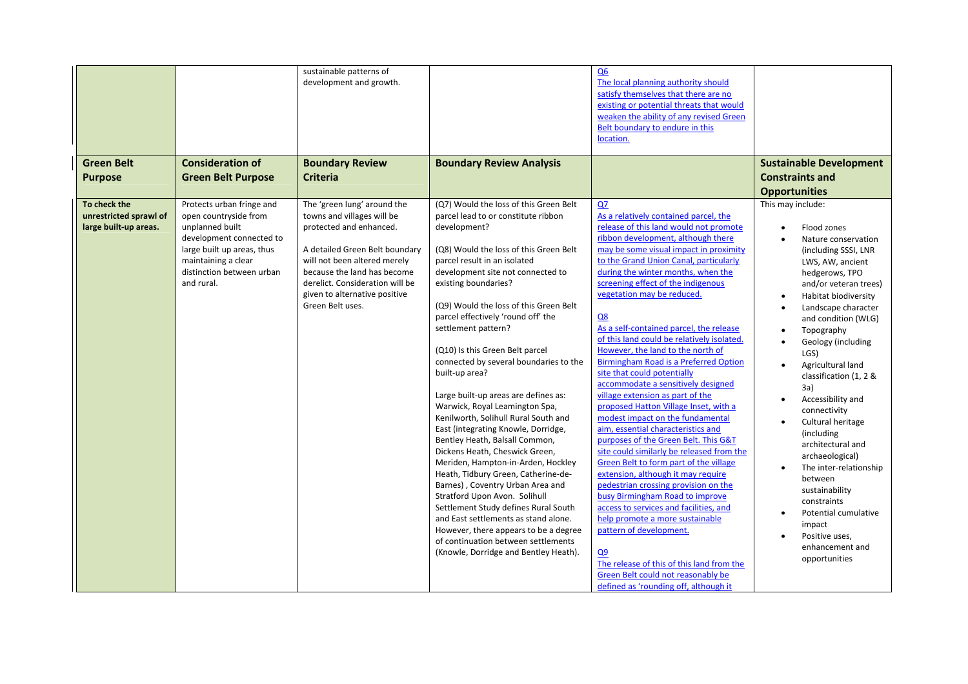|                                                                 |                                                                                                                                                                                                   | sustainable patterns of<br>development and growth.                                                                                                                                                                                                                            |                                                                                                                                                                                                                                                                                                                                                                                                                                                                                                                                                                                                                                                                                                                                                                                                                                                                                                                                                                                                                                    | Q <sub>6</sub><br>The local planning authority should<br>satisfy themselves that there are no<br>existing or potential threats that would<br>weaken the ability of any revised Green<br>Belt boundary to endure in this<br>location.                                                                                                                                                                                                                                                                                                                                                                                                                                                                                                                                                                                                                                                                                                                                                                                                                                                                                                                                                                                                |                                                                                                                                                                                                                                                                                                                                                                                                                                                                                                                                                                                                      |
|-----------------------------------------------------------------|---------------------------------------------------------------------------------------------------------------------------------------------------------------------------------------------------|-------------------------------------------------------------------------------------------------------------------------------------------------------------------------------------------------------------------------------------------------------------------------------|------------------------------------------------------------------------------------------------------------------------------------------------------------------------------------------------------------------------------------------------------------------------------------------------------------------------------------------------------------------------------------------------------------------------------------------------------------------------------------------------------------------------------------------------------------------------------------------------------------------------------------------------------------------------------------------------------------------------------------------------------------------------------------------------------------------------------------------------------------------------------------------------------------------------------------------------------------------------------------------------------------------------------------|-------------------------------------------------------------------------------------------------------------------------------------------------------------------------------------------------------------------------------------------------------------------------------------------------------------------------------------------------------------------------------------------------------------------------------------------------------------------------------------------------------------------------------------------------------------------------------------------------------------------------------------------------------------------------------------------------------------------------------------------------------------------------------------------------------------------------------------------------------------------------------------------------------------------------------------------------------------------------------------------------------------------------------------------------------------------------------------------------------------------------------------------------------------------------------------------------------------------------------------|------------------------------------------------------------------------------------------------------------------------------------------------------------------------------------------------------------------------------------------------------------------------------------------------------------------------------------------------------------------------------------------------------------------------------------------------------------------------------------------------------------------------------------------------------------------------------------------------------|
| <b>Green Belt</b><br><b>Purpose</b>                             | <b>Consideration of</b><br><b>Green Belt Purpose</b>                                                                                                                                              | <b>Boundary Review</b><br><b>Criteria</b>                                                                                                                                                                                                                                     | <b>Boundary Review Analysis</b>                                                                                                                                                                                                                                                                                                                                                                                                                                                                                                                                                                                                                                                                                                                                                                                                                                                                                                                                                                                                    |                                                                                                                                                                                                                                                                                                                                                                                                                                                                                                                                                                                                                                                                                                                                                                                                                                                                                                                                                                                                                                                                                                                                                                                                                                     | <b>Sustainable Development</b><br><b>Constraints and</b><br><b>Opportunities</b>                                                                                                                                                                                                                                                                                                                                                                                                                                                                                                                     |
| To check the<br>unrestricted sprawl of<br>large built-up areas. | Protects urban fringe and<br>open countryside from<br>unplanned built<br>development connected to<br>large built up areas, thus<br>maintaining a clear<br>distinction between urban<br>and rural. | The 'green lung' around the<br>towns and villages will be<br>protected and enhanced.<br>A detailed Green Belt boundary<br>will not been altered merely<br>because the land has become<br>derelict. Consideration will be<br>given to alternative positive<br>Green Belt uses. | (Q7) Would the loss of this Green Belt<br>parcel lead to or constitute ribbon<br>development?<br>(Q8) Would the loss of this Green Belt<br>parcel result in an isolated<br>development site not connected to<br>existing boundaries?<br>(Q9) Would the loss of this Green Belt<br>parcel effectively 'round off' the<br>settlement pattern?<br>(Q10) Is this Green Belt parcel<br>connected by several boundaries to the<br>built-up area?<br>Large built-up areas are defines as:<br>Warwick, Royal Leamington Spa,<br>Kenilworth, Solihull Rural South and<br>East (integrating Knowle, Dorridge,<br>Bentley Heath, Balsall Common,<br>Dickens Heath, Cheswick Green,<br>Meriden, Hampton-in-Arden, Hockley<br>Heath, Tidbury Green, Catherine-de-<br>Barnes), Coventry Urban Area and<br>Stratford Upon Avon. Solihull<br>Settlement Study defines Rural South<br>and East settlements as stand alone.<br>However, there appears to be a degree<br>of continuation between settlements<br>(Knowle, Dorridge and Bentley Heath). | QZ<br>As a relatively contained parcel, the<br>release of this land would not promote<br>ribbon development, although there<br>may be some visual impact in proximity<br>to the Grand Union Canal, particularly<br>during the winter months, when the<br>screening effect of the indigenous<br>vegetation may be reduced.<br>Q8<br>As a self-contained parcel, the release<br>of this land could be relatively isolated.<br>However, the land to the north of<br><b>Birmingham Road is a Preferred Option</b><br>site that could potentially<br>accommodate a sensitively designed<br>village extension as part of the<br>proposed Hatton Village Inset, with a<br>modest impact on the fundamental<br>aim, essential characteristics and<br>purposes of the Green Belt. This G&T<br>site could similarly be released from the<br>Green Belt to form part of the village<br>extension, although it may require<br>pedestrian crossing provision on the<br>busy Birmingham Road to improve<br>access to services and facilities, and<br>help promote a more sustainable<br>pattern of development.<br>Q9<br>The release of this of this land from the<br>Green Belt could not reasonably be<br>defined as 'rounding off, although it | This may include:<br>Flood zones<br>Nature conservation<br>(including SSSI, LNR<br>LWS, AW, ancient<br>hedgerows, TPO<br>and/or veteran trees)<br>Habitat biodiversity<br>Landscape character<br>and condition (WLG)<br>Topography<br>Geology (including<br>LGS)<br>Agricultural land<br>classification (1, 2 &<br>3a)<br>Accessibility and<br>connectivity<br>Cultural heritage<br>(including<br>architectural and<br>archaeological)<br>The inter-relationship<br>between<br>sustainability<br>constraints<br>Potential cumulative<br>impact<br>Positive uses,<br>enhancement and<br>opportunities |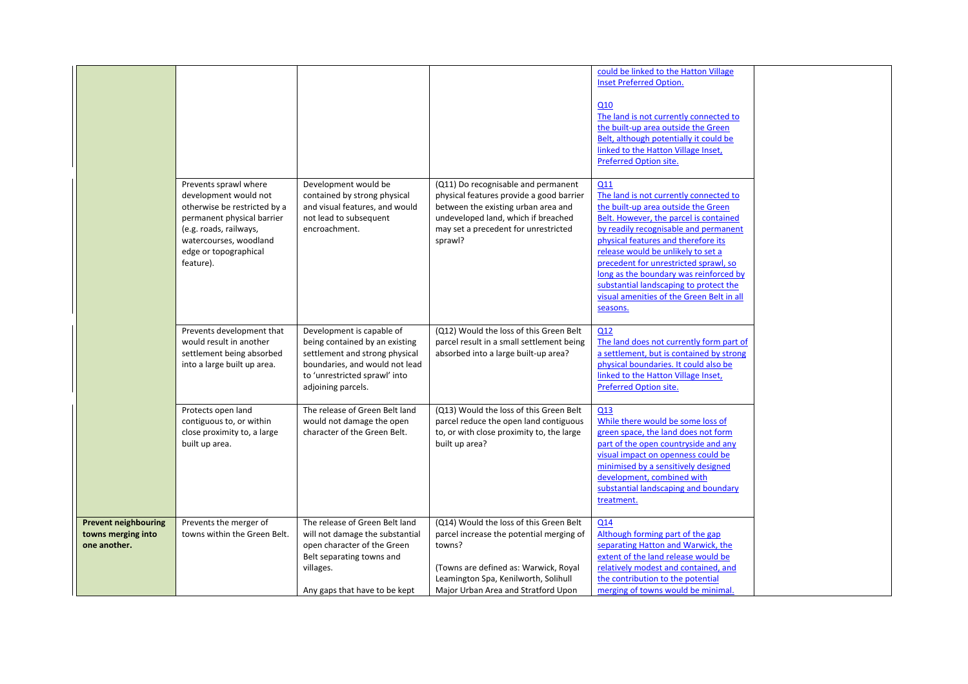|                                                                   |                                                                                                                                                                                                        |                                                                                                                                                                                        |                                                                                                                                                                                                                       | could be linked to the Hatton Village<br><b>Inset Preferred Option.</b><br>Q10<br>The land is not currently connected to<br>the built-up area outside the Green<br>Belt, although potentially it could be<br>linked to the Hatton Village Inset,<br><b>Preferred Option site.</b>                                                                                                                                                          |
|-------------------------------------------------------------------|--------------------------------------------------------------------------------------------------------------------------------------------------------------------------------------------------------|----------------------------------------------------------------------------------------------------------------------------------------------------------------------------------------|-----------------------------------------------------------------------------------------------------------------------------------------------------------------------------------------------------------------------|--------------------------------------------------------------------------------------------------------------------------------------------------------------------------------------------------------------------------------------------------------------------------------------------------------------------------------------------------------------------------------------------------------------------------------------------|
|                                                                   | Prevents sprawl where<br>development would not<br>otherwise be restricted by a<br>permanent physical barrier<br>(e.g. roads, railways,<br>watercourses, woodland<br>edge or topographical<br>feature). | Development would be<br>contained by strong physical<br>and visual features, and would<br>not lead to subsequent<br>encroachment.                                                      | (Q11) Do recognisable and permanent<br>physical features provide a good barrier<br>between the existing urban area and<br>undeveloped land, which if breached<br>may set a precedent for unrestricted<br>sprawl?      | Q11<br>The land is not currently connected to<br>the built-up area outside the Green<br>Belt. However, the parcel is contained<br>by readily recognisable and permanent<br>physical features and therefore its<br>release would be unlikely to set a<br>precedent for unrestricted sprawl, so<br>long as the boundary was reinforced by<br>substantial landscaping to protect the<br>visual amenities of the Green Belt in all<br>seasons. |
|                                                                   | Prevents development that<br>would result in another<br>settlement being absorbed<br>into a large built up area.                                                                                       | Development is capable of<br>being contained by an existing<br>settlement and strong physical<br>boundaries, and would not lead<br>to 'unrestricted sprawl' into<br>adjoining parcels. | (Q12) Would the loss of this Green Belt<br>parcel result in a small settlement being<br>absorbed into a large built-up area?                                                                                          | Q12<br>The land does not currently form part of<br>a settlement, but is contained by strong<br>physical boundaries. It could also be<br>linked to the Hatton Village Inset,<br><b>Preferred Option site.</b>                                                                                                                                                                                                                               |
|                                                                   | Protects open land<br>contiguous to, or within<br>close proximity to, a large<br>built up area.                                                                                                        | The release of Green Belt land<br>would not damage the open<br>character of the Green Belt.                                                                                            | (Q13) Would the loss of this Green Belt<br>parcel reduce the open land contiguous<br>to, or with close proximity to, the large<br>built up area?                                                                      | Q13<br>While there would be some loss of<br>green space, the land does not form<br>part of the open countryside and any<br>visual impact on openness could be<br>minimised by a sensitively designed<br>development, combined with<br>substantial landscaping and boundary<br>treatment.                                                                                                                                                   |
| <b>Prevent neighbouring</b><br>towns merging into<br>one another. | Prevents the merger of<br>towns within the Green Belt.                                                                                                                                                 | The release of Green Belt land<br>will not damage the substantial<br>open character of the Green<br>Belt separating towns and<br>villages.<br>Any gaps that have to be kept            | (Q14) Would the loss of this Green Belt<br>parcel increase the potential merging of<br>towns?<br>(Towns are defined as: Warwick, Royal<br>Leamington Spa, Kenilworth, Solihull<br>Major Urban Area and Stratford Upon | Q14<br>Although forming part of the gap<br>separating Hatton and Warwick, the<br>extent of the land release would be<br>relatively modest and contained, and<br>the contribution to the potential<br>merging of towns would be minimal.                                                                                                                                                                                                    |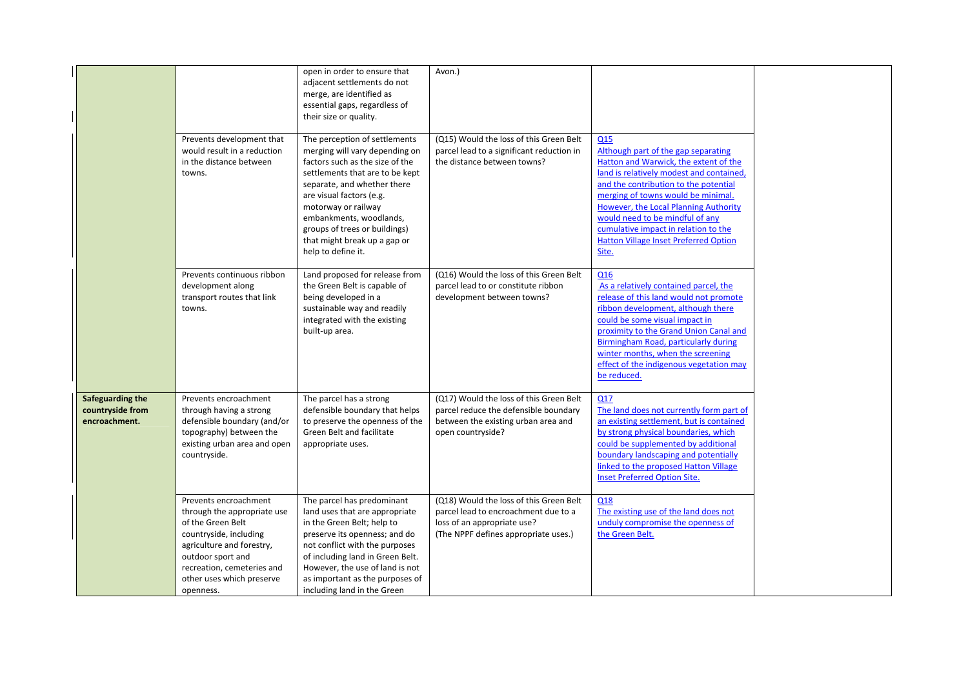|                                                       | Prevents development that<br>would result in a reduction                                                                                                                                                                      | open in order to ensure that<br>adjacent settlements do not<br>merge, are identified as<br>essential gaps, regardless of<br>their size or quality.<br>The perception of settlements<br>merging will vary depending on                                                                                  | Avon.)<br>(Q15) Would the loss of this Green Belt<br>parcel lead to a significant reduction in                                                         | Q15<br>Although part of the gap separating                                                                                                                                                                                                                                                                                                      |  |
|-------------------------------------------------------|-------------------------------------------------------------------------------------------------------------------------------------------------------------------------------------------------------------------------------|--------------------------------------------------------------------------------------------------------------------------------------------------------------------------------------------------------------------------------------------------------------------------------------------------------|--------------------------------------------------------------------------------------------------------------------------------------------------------|-------------------------------------------------------------------------------------------------------------------------------------------------------------------------------------------------------------------------------------------------------------------------------------------------------------------------------------------------|--|
|                                                       | in the distance between<br>towns.                                                                                                                                                                                             | factors such as the size of the<br>settlements that are to be kept<br>separate, and whether there<br>are visual factors (e.g.<br>motorway or railway<br>embankments, woodlands,<br>groups of trees or buildings)<br>that might break up a gap or<br>help to define it.                                 | the distance between towns?                                                                                                                            | Hatton and Warwick, the extent of the<br>land is relatively modest and contained,<br>and the contribution to the potential<br>merging of towns would be minimal.<br>However, the Local Planning Authority<br>would need to be mindful of any<br>cumulative impact in relation to the<br><b>Hatton Village Inset Preferred Option</b><br>Site.   |  |
|                                                       | Prevents continuous ribbon<br>development along<br>transport routes that link<br>towns.                                                                                                                                       | Land proposed for release from<br>the Green Belt is capable of<br>being developed in a<br>sustainable way and readily<br>integrated with the existing<br>built-up area.                                                                                                                                | (Q16) Would the loss of this Green Belt<br>parcel lead to or constitute ribbon<br>development between towns?                                           | Q16<br>As a relatively contained parcel, the<br>release of this land would not promote<br>ribbon development, although there<br>could be some visual impact in<br>proximity to the Grand Union Canal and<br>Birmingham Road, particularly during<br>winter months, when the screening<br>effect of the indigenous vegetation may<br>be reduced. |  |
| Safeguarding the<br>countryside from<br>encroachment. | Prevents encroachment<br>through having a strong<br>defensible boundary (and/or<br>topography) between the<br>existing urban area and open<br>countryside.                                                                    | The parcel has a strong<br>defensible boundary that helps<br>to preserve the openness of the<br>Green Belt and facilitate<br>appropriate uses.                                                                                                                                                         | (Q17) Would the loss of this Green Belt<br>parcel reduce the defensible boundary<br>between the existing urban area and<br>open countryside?           | Q17<br>The land does not currently form part of<br>an existing settlement, but is contained<br>by strong physical boundaries, which<br>could be supplemented by additional<br>boundary landscaping and potentially<br>linked to the proposed Hatton Village<br><b>Inset Preferred Option Site.</b>                                              |  |
|                                                       | Prevents encroachment<br>through the appropriate use<br>of the Green Belt<br>countryside, including<br>agriculture and forestry,<br>outdoor sport and<br>recreation, cemeteries and<br>other uses which preserve<br>openness. | The parcel has predominant<br>land uses that are appropriate<br>in the Green Belt; help to<br>preserve its openness; and do<br>not conflict with the purposes<br>of including land in Green Belt.<br>However, the use of land is not<br>as important as the purposes of<br>including land in the Green | (Q18) Would the loss of this Green Belt<br>parcel lead to encroachment due to a<br>loss of an appropriate use?<br>(The NPPF defines appropriate uses.) | Q18<br>The existing use of the land does not<br>unduly compromise the openness of<br>the Green Belt.                                                                                                                                                                                                                                            |  |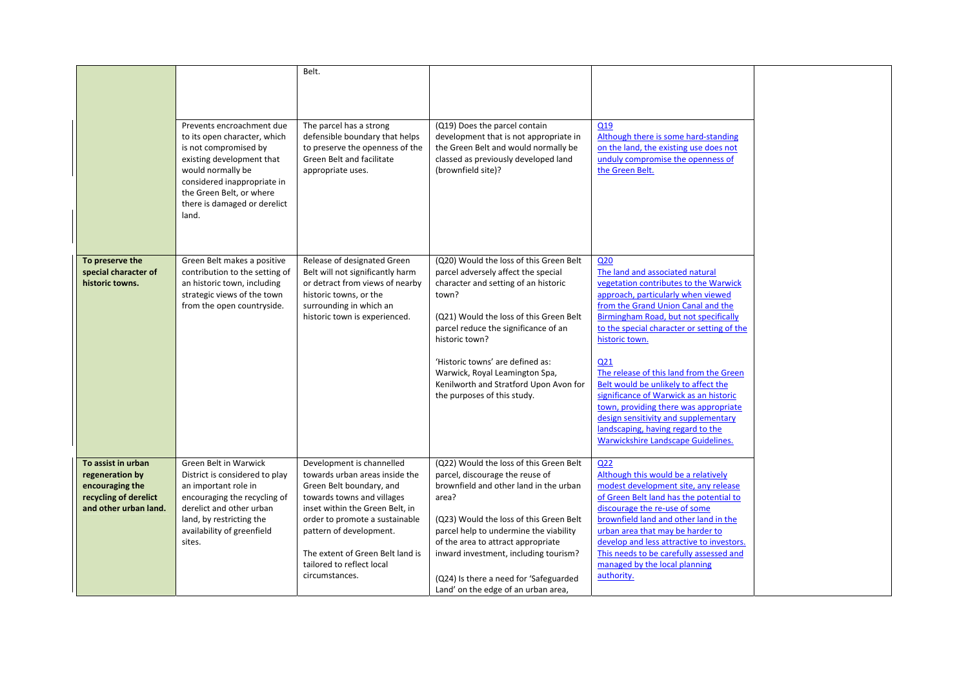|                                                                                                            | Prevents encroachment due<br>to its open character, which<br>is not compromised by<br>existing development that<br>would normally be                      | Belt.<br>The parcel has a strong<br>defensible boundary that helps<br>to preserve the openness of the<br>Green Belt and facilitate<br>appropriate uses.                                  | (Q19) Does the parcel contain<br>development that is not appropriate in<br>the Green Belt and would normally be<br>classed as previously developed land<br>(brownfield site)?                                                                     | Q19<br>Although there is some hard-standing<br>on the land, the existing use does not<br>unduly compromise the openness of<br>the Green Belt.                                                                                                                                                                   |  |
|------------------------------------------------------------------------------------------------------------|-----------------------------------------------------------------------------------------------------------------------------------------------------------|------------------------------------------------------------------------------------------------------------------------------------------------------------------------------------------|---------------------------------------------------------------------------------------------------------------------------------------------------------------------------------------------------------------------------------------------------|-----------------------------------------------------------------------------------------------------------------------------------------------------------------------------------------------------------------------------------------------------------------------------------------------------------------|--|
|                                                                                                            | considered inappropriate in<br>the Green Belt, or where<br>there is damaged or derelict<br>land.                                                          |                                                                                                                                                                                          |                                                                                                                                                                                                                                                   |                                                                                                                                                                                                                                                                                                                 |  |
| To preserve the<br>special character of<br>historic towns.                                                 | Green Belt makes a positive<br>contribution to the setting of<br>an historic town, including<br>strategic views of the town<br>from the open countryside. | Release of designated Green<br>Belt will not significantly harm<br>or detract from views of nearby<br>historic towns, or the<br>surrounding in which an<br>historic town is experienced. | (Q20) Would the loss of this Green Belt<br>parcel adversely affect the special<br>character and setting of an historic<br>town?<br>(Q21) Would the loss of this Green Belt<br>parcel reduce the significance of an<br>historic town?              | Q <sub>20</sub><br>The land and associated natural<br>vegetation contributes to the Warwick<br>approach, particularly when viewed<br>from the Grand Union Canal and the<br>Birmingham Road, but not specifically<br>to the special character or setting of the<br>historic town.                                |  |
|                                                                                                            |                                                                                                                                                           |                                                                                                                                                                                          | 'Historic towns' are defined as:<br>Warwick, Royal Leamington Spa,<br>Kenilworth and Stratford Upon Avon for<br>the purposes of this study.                                                                                                       | Q <sub>21</sub><br>The release of this land from the Green<br>Belt would be unlikely to affect the<br>significance of Warwick as an historic<br>town, providing there was appropriate<br>design sensitivity and supplementary<br>landscaping, having regard to the<br><b>Warwickshire Landscape Guidelines.</b> |  |
| To assist in urban<br>regeneration by<br>encouraging the<br>recycling of derelict<br>and other urban land. | Green Belt in Warwick<br>District is considered to play<br>an important role in<br>encouraging the recycling of<br>derelict and other urban               | Development is channelled<br>towards urban areas inside the<br>Green Belt boundary, and<br>towards towns and villages<br>inset within the Green Belt, in                                 | (Q22) Would the loss of this Green Belt<br>parcel, discourage the reuse of<br>brownfield and other land in the urban<br>area?                                                                                                                     | Q <sub>22</sub><br>Although this would be a relatively<br>modest development site, any release<br>of Green Belt land has the potential to<br>discourage the re-use of some                                                                                                                                      |  |
|                                                                                                            | land, by restricting the<br>availability of greenfield<br>sites.                                                                                          | order to promote a sustainable<br>pattern of development.<br>The extent of Green Belt land is<br>tailored to reflect local<br>circumstances.                                             | (Q23) Would the loss of this Green Belt<br>parcel help to undermine the viability<br>of the area to attract appropriate<br>inward investment, including tourism?<br>(Q24) Is there a need for 'Safeguarded<br>Land' on the edge of an urban area, | brownfield land and other land in the<br>urban area that may be harder to<br>develop and less attractive to investors.<br>This needs to be carefully assessed and<br>managed by the local planning<br>authority.                                                                                                |  |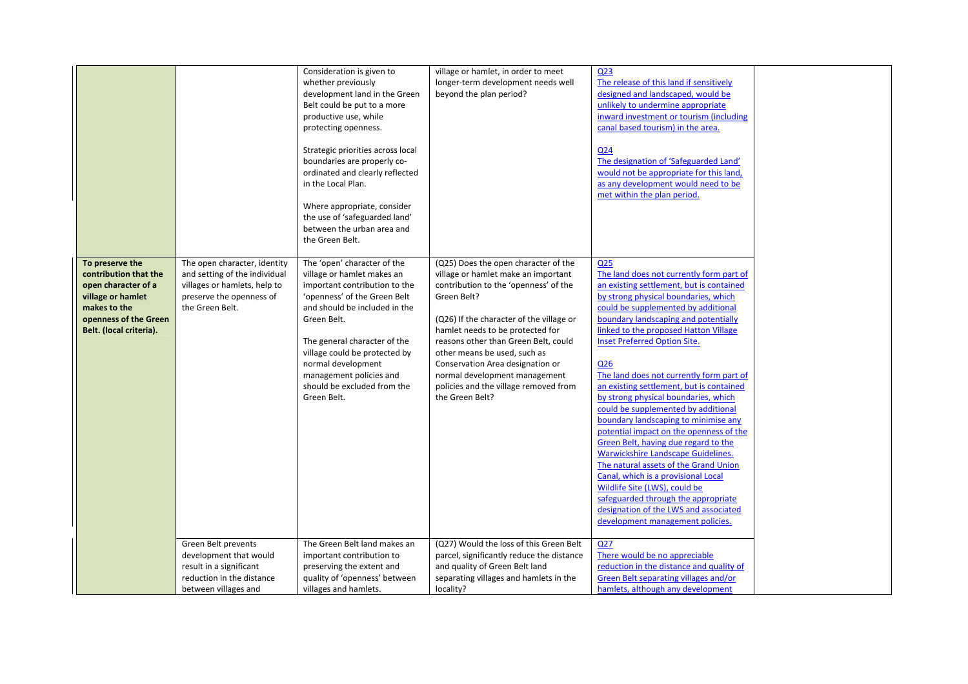|                                                                                                                                                          |                                                                                                                                              | Consideration is given to<br>whether previously<br>development land in the Green<br>Belt could be put to a more<br>productive use, while<br>protecting openness.<br>Strategic priorities across local<br>boundaries are properly co-<br>ordinated and clearly reflected<br>in the Local Plan.<br>Where appropriate, consider<br>the use of 'safeguarded land'<br>between the urban area and<br>the Green Belt. | village or hamlet, in order to meet<br>longer-term development needs well<br>beyond the plan period?                                                                                                                                                                                                                                                                                                                         | Q <sub>23</sub><br>The release of this land if sensitively<br>designed and landscaped, would be<br>unlikely to undermine appropriate<br>inward investment or tourism (including<br>canal based tourism) in the area.<br>Q <sub>24</sub><br>The designation of 'Safeguarded Land'<br>would not be appropriate for this land,<br>as any development would need to be<br>met within the plan period.                                                                                                                                                                                                                                                                                                                                                                                                                                                                                                  |  |
|----------------------------------------------------------------------------------------------------------------------------------------------------------|----------------------------------------------------------------------------------------------------------------------------------------------|----------------------------------------------------------------------------------------------------------------------------------------------------------------------------------------------------------------------------------------------------------------------------------------------------------------------------------------------------------------------------------------------------------------|------------------------------------------------------------------------------------------------------------------------------------------------------------------------------------------------------------------------------------------------------------------------------------------------------------------------------------------------------------------------------------------------------------------------------|----------------------------------------------------------------------------------------------------------------------------------------------------------------------------------------------------------------------------------------------------------------------------------------------------------------------------------------------------------------------------------------------------------------------------------------------------------------------------------------------------------------------------------------------------------------------------------------------------------------------------------------------------------------------------------------------------------------------------------------------------------------------------------------------------------------------------------------------------------------------------------------------------|--|
| To preserve the<br>contribution that the<br>open character of a<br>village or hamlet<br>makes to the<br>openness of the Green<br>Belt. (local criteria). | The open character, identity<br>and setting of the individual<br>villages or hamlets, help to<br>preserve the openness of<br>the Green Belt. | The 'open' character of the<br>village or hamlet makes an<br>important contribution to the<br>'openness' of the Green Belt<br>and should be included in the<br>Green Belt.<br>The general character of the<br>village could be protected by<br>normal development<br>management policies and<br>should be excluded from the<br>Green Belt.                                                                     | (Q25) Does the open character of the<br>village or hamlet make an important<br>contribution to the 'openness' of the<br>Green Belt?<br>(Q26) If the character of the village or<br>hamlet needs to be protected for<br>reasons other than Green Belt, could<br>other means be used, such as<br>Conservation Area designation or<br>normal development management<br>policies and the village removed from<br>the Green Belt? | Q <sub>25</sub><br>The land does not currently form part of<br>an existing settlement, but is contained<br>by strong physical boundaries, which<br>could be supplemented by additional<br>boundary landscaping and potentially<br>linked to the proposed Hatton Village<br><b>Inset Preferred Option Site.</b><br>Q26<br>The land does not currently form part of<br>an existing settlement, but is contained<br>by strong physical boundaries, which<br>could be supplemented by additional<br>boundary landscaping to minimise any<br>potential impact on the openness of the<br>Green Belt, having due regard to the<br>Warwickshire Landscape Guidelines.<br>The natural assets of the Grand Union<br>Canal, which is a provisional Local<br>Wildlife Site (LWS), could be<br>safeguarded through the appropriate<br>designation of the LWS and associated<br>development management policies. |  |
|                                                                                                                                                          | Green Belt prevents<br>development that would<br>result in a significant<br>reduction in the distance<br>between villages and                | The Green Belt land makes an<br>important contribution to<br>preserving the extent and<br>quality of 'openness' between<br>villages and hamlets.                                                                                                                                                                                                                                                               | (Q27) Would the loss of this Green Belt<br>parcel, significantly reduce the distance<br>and quality of Green Belt land<br>separating villages and hamlets in the<br>locality?                                                                                                                                                                                                                                                | Q27<br>There would be no appreciable<br>reduction in the distance and quality of<br>Green Belt separating villages and/or<br>hamlets, although any development                                                                                                                                                                                                                                                                                                                                                                                                                                                                                                                                                                                                                                                                                                                                     |  |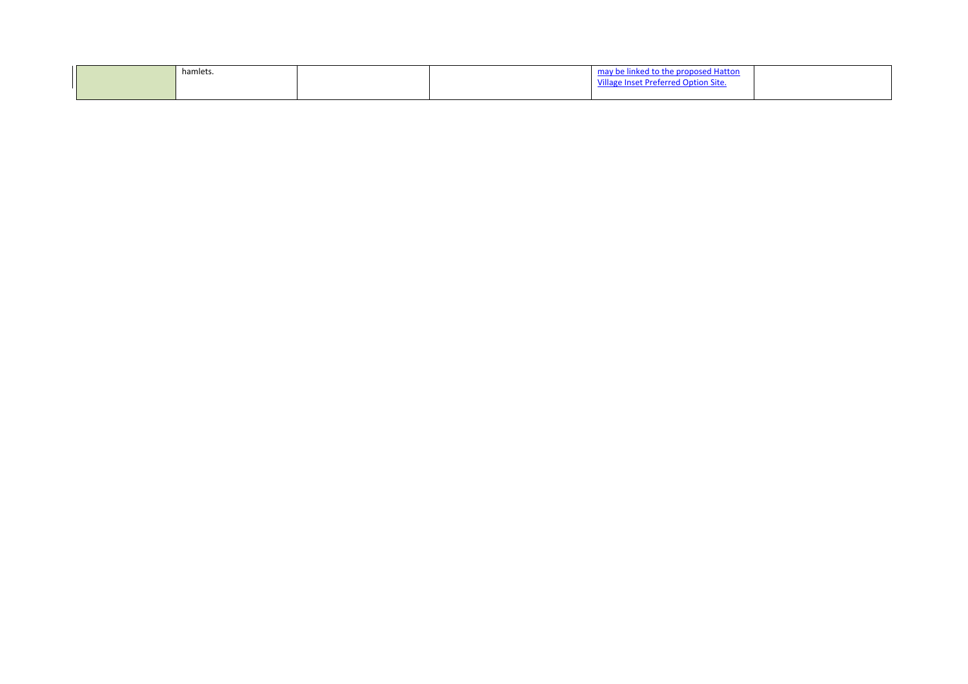| hamlets. |  | may be linked to the proposed Hatton |  |
|----------|--|--------------------------------------|--|
|          |  | Village Inset Preferred Option Site. |  |
|          |  |                                      |  |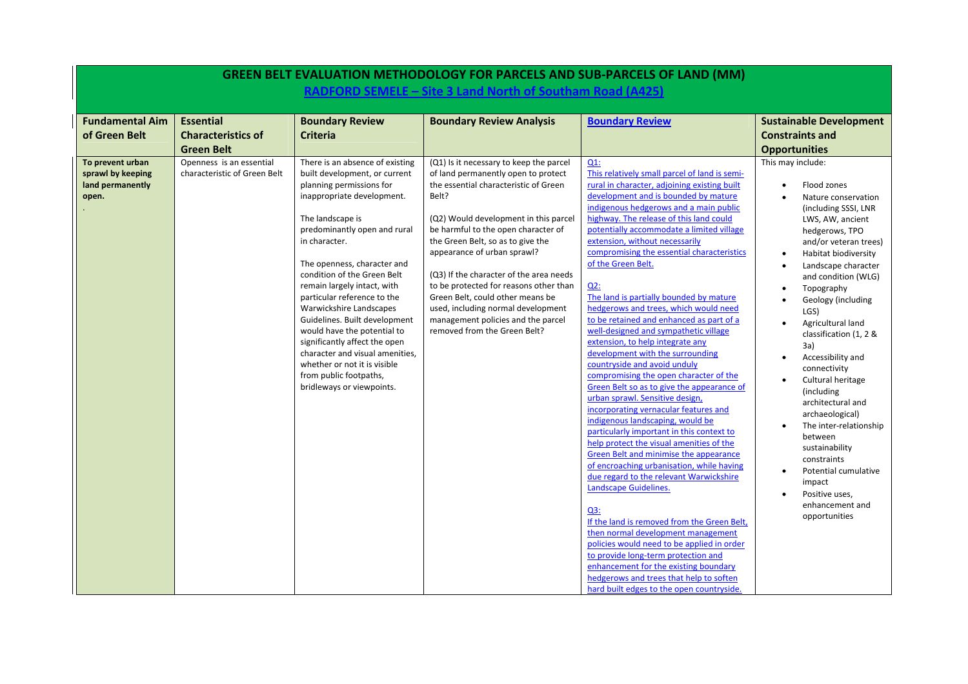|                                                                    |                                                                    |                                                                                                                                                                                                                                                                                                                                                                                                                                                                                                                                                                                   |                                                                                                                                                                                                                                                                                                                                                                                                                                                                                                                           | <b>GREEN BELT EVALUATION METHODOLOGY FOR PARCELS AND SUB-PARCELS OF LAND (MM)</b>                                                                                                                                                                                                                                                                                                                                                                                                                                                                                                                                                                                                                                                                                                                                                                                                                                                                                                                                                                                                                                                                                                                                                                                                                                                                                                                                                                             |                                                                                                                                                                                                                                                                                                                                                                                                                                                                                                                                                                                                                                                                                    |
|--------------------------------------------------------------------|--------------------------------------------------------------------|-----------------------------------------------------------------------------------------------------------------------------------------------------------------------------------------------------------------------------------------------------------------------------------------------------------------------------------------------------------------------------------------------------------------------------------------------------------------------------------------------------------------------------------------------------------------------------------|---------------------------------------------------------------------------------------------------------------------------------------------------------------------------------------------------------------------------------------------------------------------------------------------------------------------------------------------------------------------------------------------------------------------------------------------------------------------------------------------------------------------------|---------------------------------------------------------------------------------------------------------------------------------------------------------------------------------------------------------------------------------------------------------------------------------------------------------------------------------------------------------------------------------------------------------------------------------------------------------------------------------------------------------------------------------------------------------------------------------------------------------------------------------------------------------------------------------------------------------------------------------------------------------------------------------------------------------------------------------------------------------------------------------------------------------------------------------------------------------------------------------------------------------------------------------------------------------------------------------------------------------------------------------------------------------------------------------------------------------------------------------------------------------------------------------------------------------------------------------------------------------------------------------------------------------------------------------------------------------------|------------------------------------------------------------------------------------------------------------------------------------------------------------------------------------------------------------------------------------------------------------------------------------------------------------------------------------------------------------------------------------------------------------------------------------------------------------------------------------------------------------------------------------------------------------------------------------------------------------------------------------------------------------------------------------|
|                                                                    |                                                                    |                                                                                                                                                                                                                                                                                                                                                                                                                                                                                                                                                                                   | RADFORD SEMELE - Site 3 Land North of Southam Road (A425)                                                                                                                                                                                                                                                                                                                                                                                                                                                                 |                                                                                                                                                                                                                                                                                                                                                                                                                                                                                                                                                                                                                                                                                                                                                                                                                                                                                                                                                                                                                                                                                                                                                                                                                                                                                                                                                                                                                                                               |                                                                                                                                                                                                                                                                                                                                                                                                                                                                                                                                                                                                                                                                                    |
| <b>Fundamental Aim</b><br>of Green Belt                            | <b>Essential</b><br><b>Characteristics of</b><br><b>Green Belt</b> | <b>Boundary Review</b><br><b>Criteria</b>                                                                                                                                                                                                                                                                                                                                                                                                                                                                                                                                         | <b>Boundary Review Analysis</b>                                                                                                                                                                                                                                                                                                                                                                                                                                                                                           | <b>Boundary Review</b>                                                                                                                                                                                                                                                                                                                                                                                                                                                                                                                                                                                                                                                                                                                                                                                                                                                                                                                                                                                                                                                                                                                                                                                                                                                                                                                                                                                                                                        | <b>Sustainable Development</b><br><b>Constraints and</b><br><b>Opportunities</b>                                                                                                                                                                                                                                                                                                                                                                                                                                                                                                                                                                                                   |
| To prevent urban<br>sprawl by keeping<br>land permanently<br>open. | Openness is an essential<br>characteristic of Green Belt           | There is an absence of existing<br>built development, or current<br>planning permissions for<br>inappropriate development.<br>The landscape is<br>predominantly open and rural<br>in character.<br>The openness, character and<br>condition of the Green Belt<br>remain largely intact, with<br>particular reference to the<br>Warwickshire Landscapes<br>Guidelines. Built development<br>would have the potential to<br>significantly affect the open<br>character and visual amenities,<br>whether or not it is visible<br>from public footpaths,<br>bridleways or viewpoints. | (Q1) Is it necessary to keep the parcel<br>of land permanently open to protect<br>the essential characteristic of Green<br>Belt?<br>(Q2) Would development in this parcel<br>be harmful to the open character of<br>the Green Belt, so as to give the<br>appearance of urban sprawl?<br>(Q3) If the character of the area needs<br>to be protected for reasons other than<br>Green Belt, could other means be<br>used, including normal development<br>management policies and the parcel<br>removed from the Green Belt? | $Q1$ :<br>This relatively small parcel of land is semi-<br>rural in character, adjoining existing built<br>development and is bounded by mature<br>indigenous hedgerows and a main public<br>highway. The release of this land could<br>potentially accommodate a limited village<br>extension, without necessarily<br>compromising the essential characteristics<br>of the Green Belt.<br>Q2:<br>The land is partially bounded by mature<br>hedgerows and trees, which would need<br>to be retained and enhanced as part of a<br>well-designed and sympathetic village<br>extension, to help integrate any<br>development with the surrounding<br>countryside and avoid unduly<br>compromising the open character of the<br>Green Belt so as to give the appearance of<br>urban sprawl. Sensitive design,<br>incorporating vernacular features and<br>indigenous landscaping, would be<br>particularly important in this context to<br>help protect the visual amenities of the<br>Green Belt and minimise the appearance<br>of encroaching urbanisation, while having<br>due regard to the relevant Warwickshire<br>Landscape Guidelines.<br>Q3:<br>If the land is removed from the Green Belt,<br>then normal development management<br>policies would need to be applied in order<br>to provide long-term protection and<br>enhancement for the existing boundary<br>hedgerows and trees that help to soften<br>hard built edges to the open countryside. | This may include:<br>Flood zones<br>$\bullet$<br>Nature conservation<br>(including SSSI, LNR<br>LWS, AW, ancient<br>hedgerows, TPO<br>and/or veteran trees)<br>Habitat biodiversity<br>$\bullet$<br>Landscape character<br>and condition (WLG)<br>Topography<br>Geology (including<br>LGS)<br>Agricultural land<br>$\bullet$<br>classification (1, 2 &<br>3a)<br>Accessibility and<br>$\bullet$<br>connectivity<br>Cultural heritage<br>(including<br>architectural and<br>archaeological)<br>The inter-relationship<br>$\bullet$<br>between<br>sustainability<br>constraints<br>Potential cumulative<br>$\bullet$<br>impact<br>Positive uses,<br>enhancement and<br>opportunities |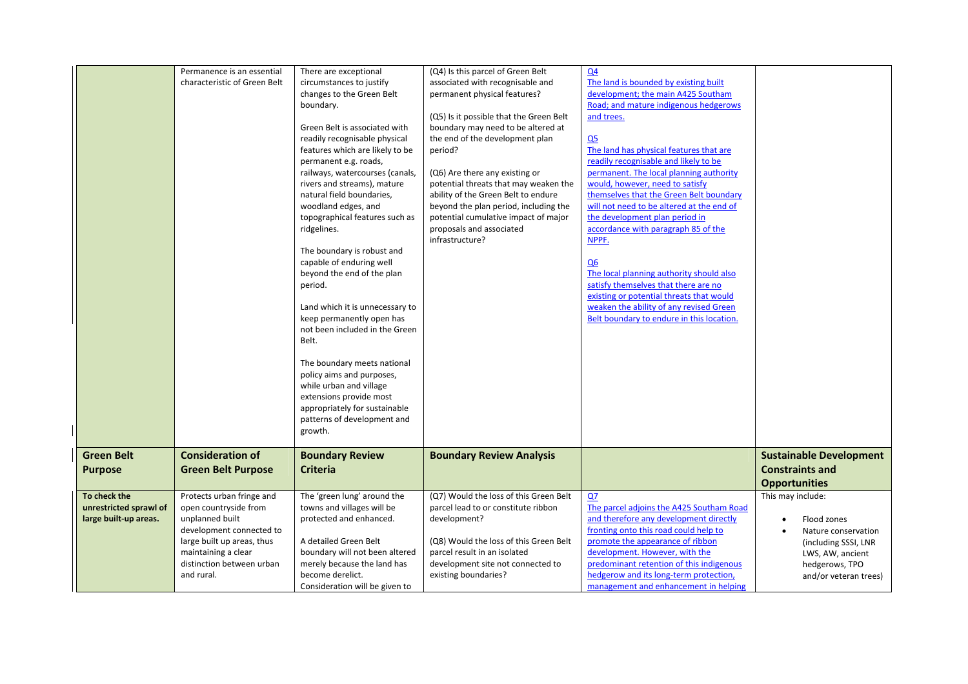|                        | Permanence is an essential<br>characteristic of Green Belt | There are exceptional<br>circumstances to justify              | (Q4) Is this parcel of Green Belt<br>associated with recognisable and         | Q <sub>4</sub><br>The land is bounded by existing built                          |                                    |
|------------------------|------------------------------------------------------------|----------------------------------------------------------------|-------------------------------------------------------------------------------|----------------------------------------------------------------------------------|------------------------------------|
|                        |                                                            | changes to the Green Belt                                      | permanent physical features?                                                  | development; the main A425 Southam                                               |                                    |
|                        |                                                            | boundary.                                                      |                                                                               | Road; and mature indigenous hedgerows                                            |                                    |
|                        |                                                            | Green Belt is associated with                                  | (Q5) Is it possible that the Green Belt<br>boundary may need to be altered at | and trees.                                                                       |                                    |
|                        |                                                            | readily recognisable physical                                  | the end of the development plan                                               | Q <sub>5</sub>                                                                   |                                    |
|                        |                                                            | features which are likely to be                                | period?                                                                       | The land has physical features that are                                          |                                    |
|                        |                                                            | permanent e.g. roads,                                          |                                                                               | readily recognisable and likely to be                                            |                                    |
|                        |                                                            | railways, watercourses (canals,<br>rivers and streams), mature | (Q6) Are there any existing or<br>potential threats that may weaken the       | permanent. The local planning authority<br>would, however, need to satisfy       |                                    |
|                        |                                                            | natural field boundaries,                                      | ability of the Green Belt to endure                                           | themselves that the Green Belt boundary                                          |                                    |
|                        |                                                            | woodland edges, and                                            | beyond the plan period, including the                                         | will not need to be altered at the end of                                        |                                    |
|                        |                                                            | topographical features such as                                 | potential cumulative impact of major                                          | the development plan period in                                                   |                                    |
|                        |                                                            | ridgelines.                                                    | proposals and associated<br>infrastructure?                                   | accordance with paragraph 85 of the<br>NPPF.                                     |                                    |
|                        |                                                            | The boundary is robust and                                     |                                                                               |                                                                                  |                                    |
|                        |                                                            | capable of enduring well                                       |                                                                               | Q6                                                                               |                                    |
|                        |                                                            | beyond the end of the plan                                     |                                                                               | The local planning authority should also                                         |                                    |
|                        |                                                            | period.                                                        |                                                                               | satisfy themselves that there are no<br>existing or potential threats that would |                                    |
|                        |                                                            | Land which it is unnecessary to                                |                                                                               | weaken the ability of any revised Green                                          |                                    |
|                        |                                                            | keep permanently open has                                      |                                                                               | Belt boundary to endure in this location.                                        |                                    |
|                        |                                                            | not been included in the Green                                 |                                                                               |                                                                                  |                                    |
|                        |                                                            | Belt.                                                          |                                                                               |                                                                                  |                                    |
|                        |                                                            | The boundary meets national                                    |                                                                               |                                                                                  |                                    |
|                        |                                                            | policy aims and purposes,                                      |                                                                               |                                                                                  |                                    |
|                        |                                                            | while urban and village                                        |                                                                               |                                                                                  |                                    |
|                        |                                                            | extensions provide most<br>appropriately for sustainable       |                                                                               |                                                                                  |                                    |
|                        |                                                            | patterns of development and                                    |                                                                               |                                                                                  |                                    |
|                        |                                                            | growth.                                                        |                                                                               |                                                                                  |                                    |
| <b>Green Belt</b>      | <b>Consideration of</b>                                    | <b>Boundary Review</b>                                         | <b>Boundary Review Analysis</b>                                               |                                                                                  | <b>Sustainable Development</b>     |
| <b>Purpose</b>         | <b>Green Belt Purpose</b>                                  | <b>Criteria</b>                                                |                                                                               |                                                                                  | <b>Constraints and</b>             |
|                        |                                                            |                                                                |                                                                               |                                                                                  | <b>Opportunities</b>               |
| To check the           | Protects urban fringe and                                  | The 'green lung' around the                                    | (Q7) Would the loss of this Green Belt                                        | Q7                                                                               | This may include:                  |
| unrestricted sprawl of | open countryside from                                      | towns and villages will be                                     | parcel lead to or constitute ribbon                                           | The parcel adjoins the A425 Southam Road                                         |                                    |
| large built-up areas.  | unplanned built<br>development connected to                | protected and enhanced.                                        | development?                                                                  | and therefore any development directly<br>fronting onto this road could help to  | Flood zones<br>Nature conservation |
|                        | large built up areas, thus                                 | A detailed Green Belt                                          | (Q8) Would the loss of this Green Belt                                        | promote the appearance of ribbon                                                 | (including SSSI, LNR               |
|                        | maintaining a clear                                        | boundary will not been altered                                 | parcel result in an isolated                                                  | development. However, with the                                                   | LWS, AW, ancient                   |
|                        | distinction between urban                                  | merely because the land has                                    | development site not connected to                                             | predominant retention of this indigenous                                         | hedgerows, TPO                     |
|                        | and rural.                                                 | become derelict.<br>Consideration will be given to             | existing boundaries?                                                          | hedgerow and its long-term protection,<br>management and enhancement in helping  | and/or veteran trees)              |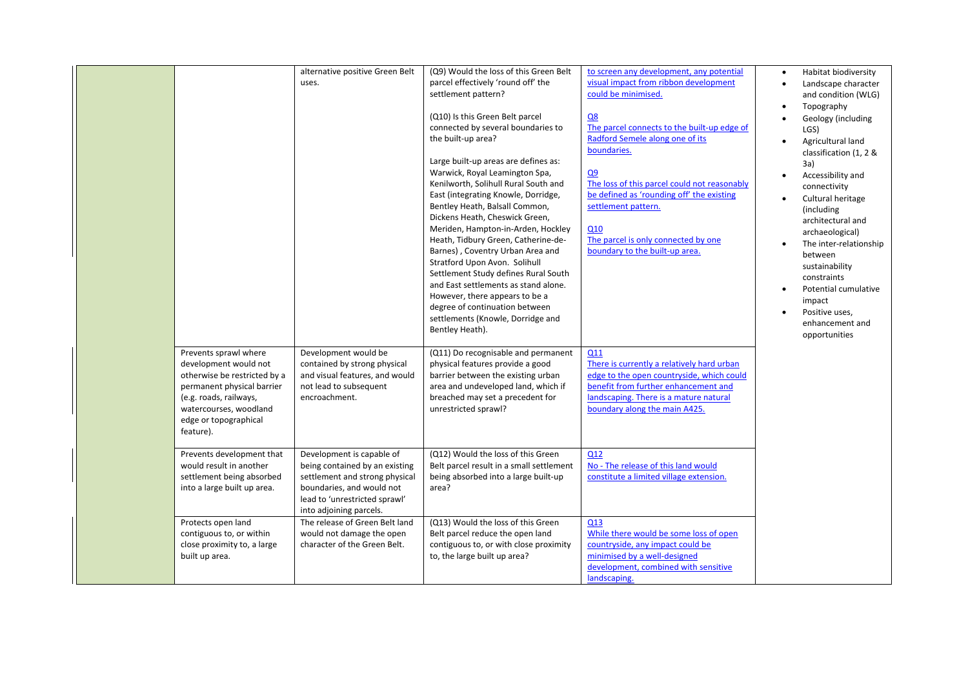|                                                                                                                                                                                                        | alternative positive Green Belt<br>uses.                                                                                                                                               | (Q9) Would the loss of this Green Belt<br>parcel effectively 'round off' the<br>settlement pattern?<br>(Q10) Is this Green Belt parcel<br>connected by several boundaries to<br>the built-up area?<br>Large built-up areas are defines as:<br>Warwick, Royal Leamington Spa,<br>Kenilworth, Solihull Rural South and<br>East (integrating Knowle, Dorridge,<br>Bentley Heath, Balsall Common,<br>Dickens Heath, Cheswick Green,<br>Meriden, Hampton-in-Arden, Hockley<br>Heath, Tidbury Green, Catherine-de-<br>Barnes), Coventry Urban Area and<br>Stratford Upon Avon. Solihull<br>Settlement Study defines Rural South<br>and East settlements as stand alone.<br>However, there appears to be a<br>degree of continuation between<br>settlements (Knowle, Dorridge and<br>Bentley Heath). | to screen any development, any potential<br>visual impact from ribbon development<br>could be minimised.<br>Q8<br>The parcel connects to the built-up edge of<br>Radford Semele along one of its<br>boundaries.<br>Q9<br>The loss of this parcel could not reasonably<br>be defined as 'rounding off' the existing<br>settlement pattern.<br>Q10<br>The parcel is only connected by one<br>boundary to the built-up area. | Habitat biodiversity<br>Landscape character<br>and condition (WLG)<br>Topography<br>Geology (including<br>LGS)<br>Agricultural land<br>classification (1, 2 &<br>3a)<br>Accessibility and<br>connectivity<br>Cultural heritage<br>(including)<br>architectural and<br>archaeological)<br>The inter-relationship<br>between<br>sustainability<br>constraints<br>Potential cumulative<br>impact<br>Positive uses,<br>enhancement and<br>opportunities |
|--------------------------------------------------------------------------------------------------------------------------------------------------------------------------------------------------------|----------------------------------------------------------------------------------------------------------------------------------------------------------------------------------------|-----------------------------------------------------------------------------------------------------------------------------------------------------------------------------------------------------------------------------------------------------------------------------------------------------------------------------------------------------------------------------------------------------------------------------------------------------------------------------------------------------------------------------------------------------------------------------------------------------------------------------------------------------------------------------------------------------------------------------------------------------------------------------------------------|---------------------------------------------------------------------------------------------------------------------------------------------------------------------------------------------------------------------------------------------------------------------------------------------------------------------------------------------------------------------------------------------------------------------------|-----------------------------------------------------------------------------------------------------------------------------------------------------------------------------------------------------------------------------------------------------------------------------------------------------------------------------------------------------------------------------------------------------------------------------------------------------|
| Prevents sprawl where<br>development would not<br>otherwise be restricted by a<br>permanent physical barrier<br>(e.g. roads, railways,<br>watercourses, woodland<br>edge or topographical<br>feature). | Development would be<br>contained by strong physical<br>and visual features, and would<br>not lead to subsequent<br>encroachment.                                                      | (Q11) Do recognisable and permanent<br>physical features provide a good<br>barrier between the existing urban<br>area and undeveloped land, which if<br>breached may set a precedent for<br>unrestricted sprawl?                                                                                                                                                                                                                                                                                                                                                                                                                                                                                                                                                                              | Q11<br>There is currently a relatively hard urban<br>edge to the open countryside, which could<br>benefit from further enhancement and<br>landscaping. There is a mature natural<br>boundary along the main A425.                                                                                                                                                                                                         |                                                                                                                                                                                                                                                                                                                                                                                                                                                     |
| Prevents development that<br>would result in another<br>settlement being absorbed<br>into a large built up area.                                                                                       | Development is capable of<br>being contained by an existing<br>settlement and strong physical<br>boundaries, and would not<br>lead to 'unrestricted sprawl'<br>into adjoining parcels. | (Q12) Would the loss of this Green<br>Belt parcel result in a small settlement<br>being absorbed into a large built-up<br>area?                                                                                                                                                                                                                                                                                                                                                                                                                                                                                                                                                                                                                                                               | Q12<br>No - The release of this land would<br>constitute a limited village extension.                                                                                                                                                                                                                                                                                                                                     |                                                                                                                                                                                                                                                                                                                                                                                                                                                     |
| Protects open land<br>contiguous to, or within<br>close proximity to, a large<br>built up area.                                                                                                        | The release of Green Belt land<br>would not damage the open<br>character of the Green Belt.                                                                                            | (Q13) Would the loss of this Green<br>Belt parcel reduce the open land<br>contiguous to, or with close proximity<br>to, the large built up area?                                                                                                                                                                                                                                                                                                                                                                                                                                                                                                                                                                                                                                              | Q13<br>While there would be some loss of open<br>countryside, any impact could be<br>minimised by a well-designed<br>development, combined with sensitive<br>landscaping.                                                                                                                                                                                                                                                 |                                                                                                                                                                                                                                                                                                                                                                                                                                                     |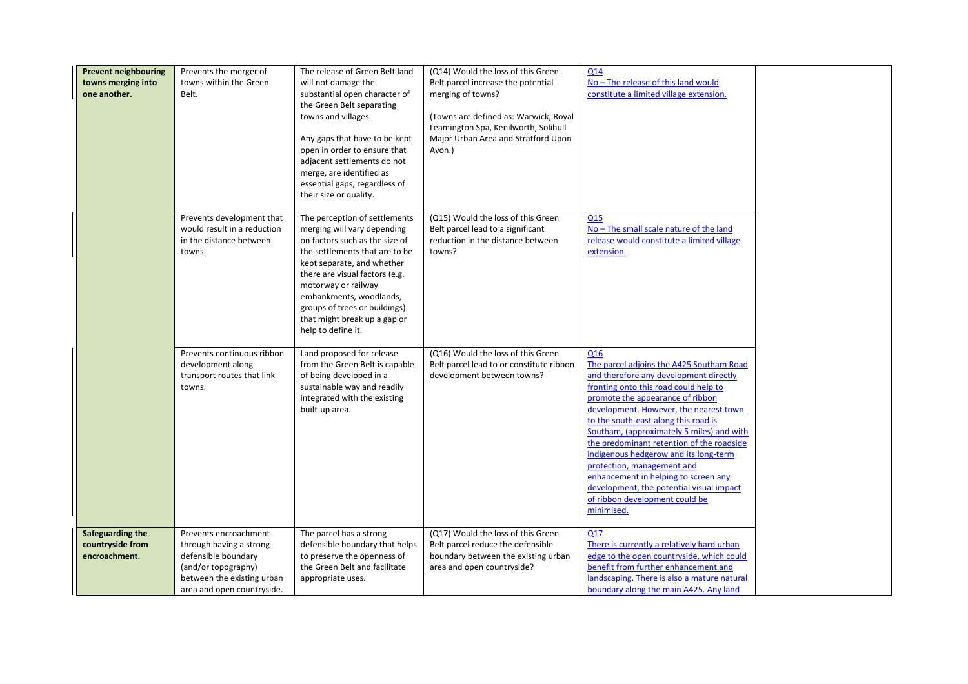| <b>Prevent neighbouring</b><br>towns merging into<br>one another. | Prevents the merger of<br>towns within the Green<br>Belt.                                                                                                  | The release of Green Belt land<br>will not damage the<br>substantial open character of<br>the Green Belt separating<br>towns and villages.<br>Any gaps that have to be kept<br>open in order to ensure that<br>adjacent settlements do not<br>merge, are identified as<br>essential gaps, regardless of<br>their size or quality.         | (Q14) Would the loss of this Green<br>Belt parcel increase the potential<br>merging of towns?<br>(Towns are defined as: Warwick, Royal<br>Leamington Spa, Kenilworth, Solihull<br>Major Urban Area and Stratford Upon<br>Avon.) | Q14<br>No - The release of this land would<br>constitute a limited village extension.                                                                                                                                                                                                                                                                                                                                                                                                                                                                         |  |
|-------------------------------------------------------------------|------------------------------------------------------------------------------------------------------------------------------------------------------------|-------------------------------------------------------------------------------------------------------------------------------------------------------------------------------------------------------------------------------------------------------------------------------------------------------------------------------------------|---------------------------------------------------------------------------------------------------------------------------------------------------------------------------------------------------------------------------------|---------------------------------------------------------------------------------------------------------------------------------------------------------------------------------------------------------------------------------------------------------------------------------------------------------------------------------------------------------------------------------------------------------------------------------------------------------------------------------------------------------------------------------------------------------------|--|
|                                                                   | Prevents development that<br>would result in a reduction<br>in the distance between<br>towns.                                                              | The perception of settlements<br>merging will vary depending<br>on factors such as the size of<br>the settlements that are to be<br>kept separate, and whether<br>there are visual factors (e.g.<br>motorway or railway<br>embankments, woodlands,<br>groups of trees or buildings)<br>that might break up a gap or<br>help to define it. | (Q15) Would the loss of this Green<br>Belt parcel lead to a significant<br>reduction in the distance between<br>towns?                                                                                                          | Q <sub>15</sub><br>No - The small scale nature of the land<br>release would constitute a limited village<br>extension.                                                                                                                                                                                                                                                                                                                                                                                                                                        |  |
|                                                                   | Prevents continuous ribbon<br>development along<br>transport routes that link<br>towns.                                                                    | Land proposed for release<br>from the Green Belt is capable<br>of being developed in a<br>sustainable way and readily<br>integrated with the existing<br>built-up area.                                                                                                                                                                   | (Q16) Would the loss of this Green<br>Belt parcel lead to or constitute ribbon<br>development between towns?                                                                                                                    | Q16<br>The parcel adjoins the A425 Southam Road<br>and therefore any development directly<br>fronting onto this road could help to<br>promote the appearance of ribbon<br>development. However, the nearest town<br>to the south-east along this road is<br>Southam, (approximately 5 miles) and with<br>the predominant retention of the roadside<br>indigenous hedgerow and its long-term<br>protection, management and<br>enhancement in helping to screen any<br>development, the potential visual impact<br>of ribbon development could be<br>minimised. |  |
| Safeguarding the<br>countryside from<br>encroachment.             | Prevents encroachment<br>through having a strong<br>defensible boundary<br>(and/or topography)<br>between the existing urban<br>area and open countryside. | The parcel has a strong<br>defensible boundary that helps<br>to preserve the openness of<br>the Green Belt and facilitate<br>appropriate uses.                                                                                                                                                                                            | (Q17) Would the loss of this Green<br>Belt parcel reduce the defensible<br>boundary between the existing urban<br>area and open countryside?                                                                                    | Q17<br>There is currently a relatively hard urban<br>edge to the open countryside, which could<br>benefit from further enhancement and<br>landscaping. There is also a mature natural<br>boundary along the main A425. Any land                                                                                                                                                                                                                                                                                                                               |  |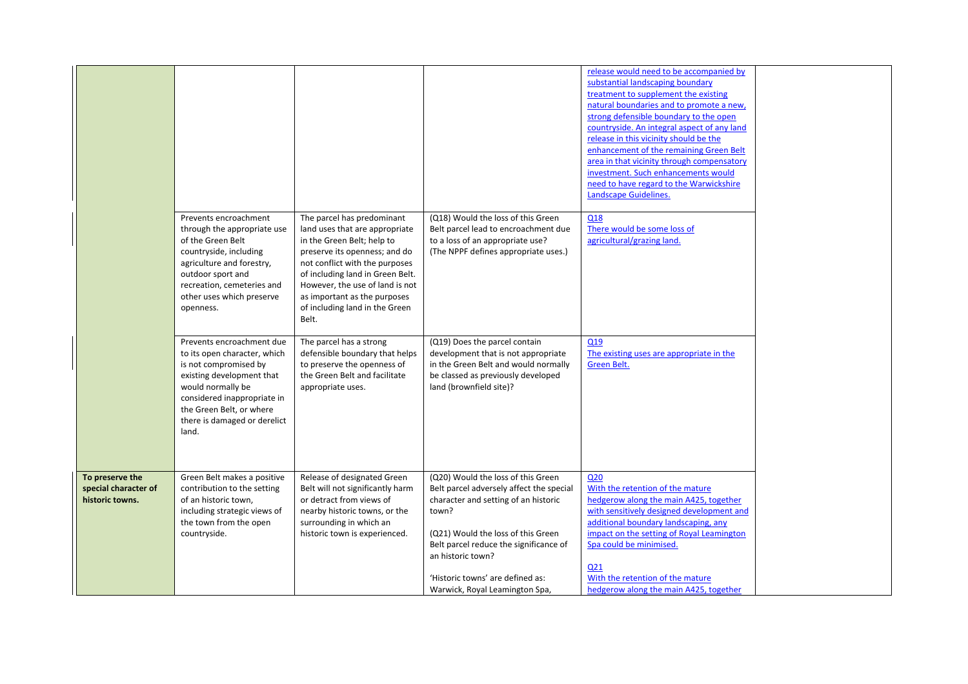|                                                            |                                                                                                                                                                                                                                          |                                                                                                                                                                                                                                                                                                                 |                                                                                                                                                                                                                                                                                                            | release would need to be accompanied by<br>substantial landscaping boundary<br>treatment to supplement the existing<br>natural boundaries and to promote a new,<br>strong defensible boundary to the open<br>countryside. An integral aspect of any land<br>release in this vicinity should be the<br>enhancement of the remaining Green Belt<br>area in that vicinity through compensatory<br>investment. Such enhancements would<br>need to have regard to the Warwickshire<br>Landscape Guidelines. |  |
|------------------------------------------------------------|------------------------------------------------------------------------------------------------------------------------------------------------------------------------------------------------------------------------------------------|-----------------------------------------------------------------------------------------------------------------------------------------------------------------------------------------------------------------------------------------------------------------------------------------------------------------|------------------------------------------------------------------------------------------------------------------------------------------------------------------------------------------------------------------------------------------------------------------------------------------------------------|--------------------------------------------------------------------------------------------------------------------------------------------------------------------------------------------------------------------------------------------------------------------------------------------------------------------------------------------------------------------------------------------------------------------------------------------------------------------------------------------------------|--|
|                                                            | Prevents encroachment<br>through the appropriate use<br>of the Green Belt<br>countryside, including<br>agriculture and forestry,<br>outdoor sport and<br>recreation, cemeteries and<br>other uses which preserve<br>openness.            | The parcel has predominant<br>land uses that are appropriate<br>in the Green Belt; help to<br>preserve its openness; and do<br>not conflict with the purposes<br>of including land in Green Belt.<br>However, the use of land is not<br>as important as the purposes<br>of including land in the Green<br>Belt. | (Q18) Would the loss of this Green<br>Belt parcel lead to encroachment due<br>to a loss of an appropriate use?<br>(The NPPF defines appropriate uses.)                                                                                                                                                     | Q18<br>There would be some loss of<br>agricultural/grazing land.                                                                                                                                                                                                                                                                                                                                                                                                                                       |  |
|                                                            | Prevents encroachment due<br>to its open character, which<br>is not compromised by<br>existing development that<br>would normally be<br>considered inappropriate in<br>the Green Belt, or where<br>there is damaged or derelict<br>land. | The parcel has a strong<br>defensible boundary that helps<br>to preserve the openness of<br>the Green Belt and facilitate<br>appropriate uses.                                                                                                                                                                  | (Q19) Does the parcel contain<br>development that is not appropriate<br>in the Green Belt and would normally<br>be classed as previously developed<br>land (brownfield site)?                                                                                                                              | Q19<br>The existing uses are appropriate in the<br>Green Belt.                                                                                                                                                                                                                                                                                                                                                                                                                                         |  |
| To preserve the<br>special character of<br>historic towns. | Green Belt makes a positive<br>contribution to the setting<br>of an historic town,<br>including strategic views of<br>the town from the open<br>countryside.                                                                             | Release of designated Green<br>Belt will not significantly harm<br>or detract from views of<br>nearby historic towns, or the<br>surrounding in which an<br>historic town is experienced.                                                                                                                        | (Q20) Would the loss of this Green<br>Belt parcel adversely affect the special<br>character and setting of an historic<br>town?<br>(Q21) Would the loss of this Green<br>Belt parcel reduce the significance of<br>an historic town?<br>'Historic towns' are defined as:<br>Warwick, Royal Leamington Spa, | Q <sub>20</sub><br>With the retention of the mature<br>hedgerow along the main A425, together<br>with sensitively designed development and<br>additional boundary landscaping, any<br>impact on the setting of Royal Leamington<br>Spa could be minimised.<br>Q21<br>With the retention of the mature<br>hedgerow along the main A425, together                                                                                                                                                        |  |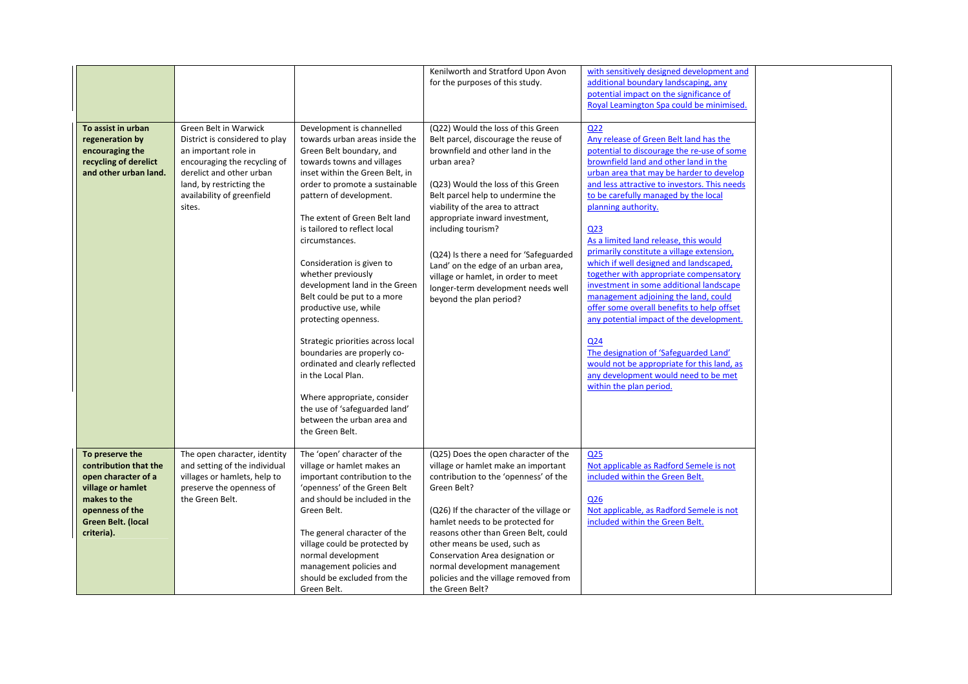|                                                                                                                                                             |                                                                                                                                                                                                                 |                                                                                                                                                                                                                                                                                                                                                                                                                                                                                                                                                                                                                                                                                                                            | Kenilworth and Stratford Upon Avon<br>for the purposes of this study.                                                                                                                                                                                                                                                                                                                                                                                                                         | with sensitively designed development and<br>additional boundary landscaping, any<br>potential impact on the significance of<br>Royal Leamington Spa could be minimised.                                                                                                                                                                                                                                                                                                                                                                                                                                                                                                                                                                                                                                                                               |  |
|-------------------------------------------------------------------------------------------------------------------------------------------------------------|-----------------------------------------------------------------------------------------------------------------------------------------------------------------------------------------------------------------|----------------------------------------------------------------------------------------------------------------------------------------------------------------------------------------------------------------------------------------------------------------------------------------------------------------------------------------------------------------------------------------------------------------------------------------------------------------------------------------------------------------------------------------------------------------------------------------------------------------------------------------------------------------------------------------------------------------------------|-----------------------------------------------------------------------------------------------------------------------------------------------------------------------------------------------------------------------------------------------------------------------------------------------------------------------------------------------------------------------------------------------------------------------------------------------------------------------------------------------|--------------------------------------------------------------------------------------------------------------------------------------------------------------------------------------------------------------------------------------------------------------------------------------------------------------------------------------------------------------------------------------------------------------------------------------------------------------------------------------------------------------------------------------------------------------------------------------------------------------------------------------------------------------------------------------------------------------------------------------------------------------------------------------------------------------------------------------------------------|--|
| To assist in urban<br>regeneration by<br>encouraging the<br>recycling of derelict<br>and other urban land.                                                  | Green Belt in Warwick<br>District is considered to play<br>an important role in<br>encouraging the recycling of<br>derelict and other urban<br>land, by restricting the<br>availability of greenfield<br>sites. | Development is channelled<br>towards urban areas inside the<br>Green Belt boundary, and<br>towards towns and villages<br>inset within the Green Belt, in<br>order to promote a sustainable<br>pattern of development.<br>The extent of Green Belt land<br>is tailored to reflect local<br>circumstances.<br>Consideration is given to<br>whether previously<br>development land in the Green<br>Belt could be put to a more<br>productive use, while<br>protecting openness.<br>Strategic priorities across local<br>boundaries are properly co-<br>ordinated and clearly reflected<br>in the Local Plan.<br>Where appropriate, consider<br>the use of 'safeguarded land'<br>between the urban area and<br>the Green Belt. | (Q22) Would the loss of this Green<br>Belt parcel, discourage the reuse of<br>brownfield and other land in the<br>urban area?<br>(Q23) Would the loss of this Green<br>Belt parcel help to undermine the<br>viability of the area to attract<br>appropriate inward investment,<br>including tourism?<br>(Q24) Is there a need for 'Safeguarded<br>Land' on the edge of an urban area,<br>village or hamlet, in order to meet<br>longer-term development needs well<br>beyond the plan period? | Q <sub>22</sub><br>Any release of Green Belt land has the<br>potential to discourage the re-use of some<br>brownfield land and other land in the<br>urban area that may be harder to develop<br>and less attractive to investors. This needs<br>to be carefully managed by the local<br>planning authority.<br>Q <sub>23</sub><br>As a limited land release, this would<br>primarily constitute a village extension,<br>which if well designed and landscaped,<br>together with appropriate compensatory<br>investment in some additional landscape<br>management adjoining the land, could<br>offer some overall benefits to help offset<br>any potential impact of the development.<br>Q24<br>The designation of 'Safeguarded Land'<br>would not be appropriate for this land, as<br>any development would need to be met<br>within the plan period. |  |
| To preserve the<br>contribution that the<br>open character of a<br>village or hamlet<br>makes to the<br>openness of the<br>Green Belt. (local<br>criteria). | The open character, identity<br>and setting of the individual<br>villages or hamlets, help to<br>preserve the openness of<br>the Green Belt.                                                                    | The 'open' character of the<br>village or hamlet makes an<br>important contribution to the<br>'openness' of the Green Belt<br>and should be included in the<br>Green Belt.<br>The general character of the<br>village could be protected by<br>normal development<br>management policies and<br>should be excluded from the<br>Green Belt.                                                                                                                                                                                                                                                                                                                                                                                 | (Q25) Does the open character of the<br>village or hamlet make an important<br>contribution to the 'openness' of the<br>Green Belt?<br>(Q26) If the character of the village or<br>hamlet needs to be protected for<br>reasons other than Green Belt, could<br>other means be used, such as<br>Conservation Area designation or<br>normal development management<br>policies and the village removed from<br>the Green Belt?                                                                  | Q25<br>Not applicable as Radford Semele is not<br>included within the Green Belt.<br>Q26<br>Not applicable, as Radford Semele is not<br>included within the Green Belt.                                                                                                                                                                                                                                                                                                                                                                                                                                                                                                                                                                                                                                                                                |  |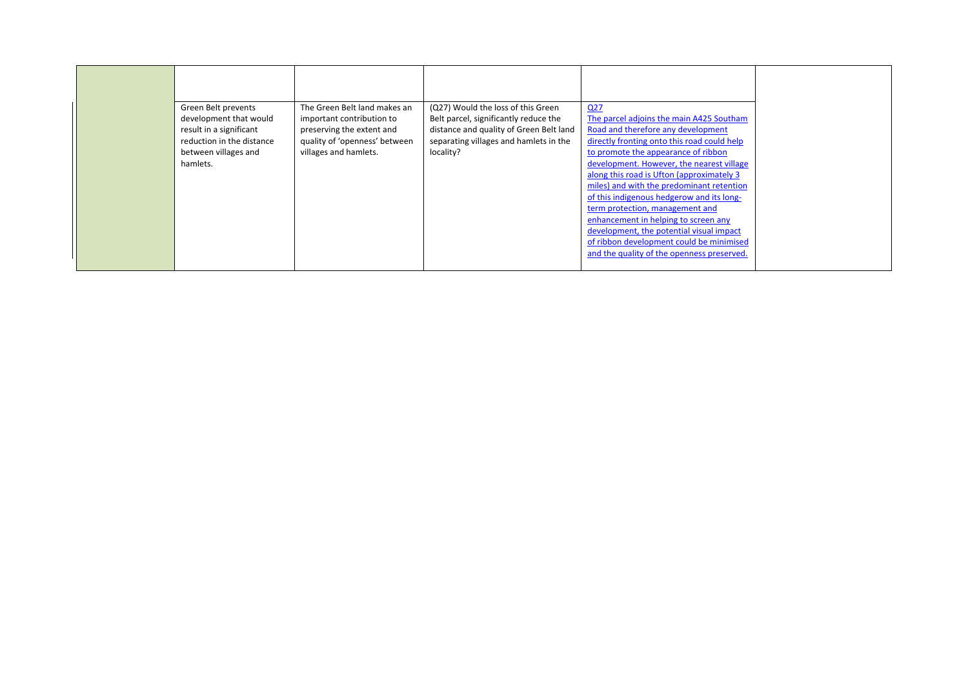| Green Belt prevents<br>development that would<br>result in a significant<br>reduction in the distance<br>between villages and<br>hamlets. | The Green Belt land makes an<br>important contribution to<br>preserving the extent and<br>quality of 'openness' between<br>villages and hamlets. | (Q27) Would the loss of this Green<br>Belt parcel, significantly reduce the<br>distance and quality of Green Belt land<br>separating villages and hamlets in the<br>locality? | Q27<br>The parcel adjoins the main A425 Southam<br>Road and therefore any development<br>directly fronting onto this road could help<br>to promote the appearance of ribbon<br>development. However, the nearest village<br>along this road is Ufton (approximately 3)<br>miles) and with the predominant retention<br>of this indigenous hedgerow and its long-<br>term protection, management and |
|-------------------------------------------------------------------------------------------------------------------------------------------|--------------------------------------------------------------------------------------------------------------------------------------------------|-------------------------------------------------------------------------------------------------------------------------------------------------------------------------------|-----------------------------------------------------------------------------------------------------------------------------------------------------------------------------------------------------------------------------------------------------------------------------------------------------------------------------------------------------------------------------------------------------|
|                                                                                                                                           |                                                                                                                                                  |                                                                                                                                                                               | enhancement in helping to screen any                                                                                                                                                                                                                                                                                                                                                                |
|                                                                                                                                           |                                                                                                                                                  |                                                                                                                                                                               | development, the potential visual impact<br>of ribbon development could be minimised<br>and the quality of the openness preserved.                                                                                                                                                                                                                                                                  |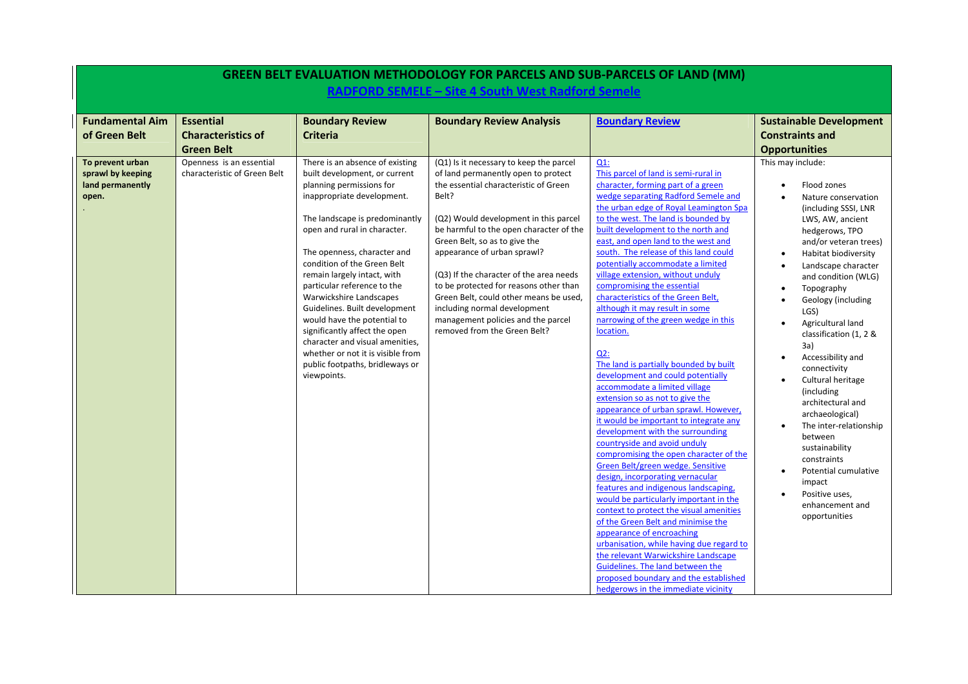|                                                                    |                                                                    |                                                                                                                                                                                                                                                                                                                                                                                                                                                                                                                                                                                | <b>GREEN BELT EVALUATION METHODOLOGY FOR PARCELS AND SUB-PARCELS OF LAND (MM)</b><br>RADFORD SEMELE - Site 4 South West Radford Semele                                                                                                                                                                                                                                                                                                                                                                                    |                                                                                                                                                                                                                                                                                                                                                                                                                                                                                                                                                                                                                                                                                                                                                                                                                                                                                                                                                                                                                                                                                                                                                                                                                                                                                                                                                                                                                      |                                                                                                                                                                                                                                                                                                                                                                                                                                                                                                                                                                                                                                |
|--------------------------------------------------------------------|--------------------------------------------------------------------|--------------------------------------------------------------------------------------------------------------------------------------------------------------------------------------------------------------------------------------------------------------------------------------------------------------------------------------------------------------------------------------------------------------------------------------------------------------------------------------------------------------------------------------------------------------------------------|---------------------------------------------------------------------------------------------------------------------------------------------------------------------------------------------------------------------------------------------------------------------------------------------------------------------------------------------------------------------------------------------------------------------------------------------------------------------------------------------------------------------------|----------------------------------------------------------------------------------------------------------------------------------------------------------------------------------------------------------------------------------------------------------------------------------------------------------------------------------------------------------------------------------------------------------------------------------------------------------------------------------------------------------------------------------------------------------------------------------------------------------------------------------------------------------------------------------------------------------------------------------------------------------------------------------------------------------------------------------------------------------------------------------------------------------------------------------------------------------------------------------------------------------------------------------------------------------------------------------------------------------------------------------------------------------------------------------------------------------------------------------------------------------------------------------------------------------------------------------------------------------------------------------------------------------------------|--------------------------------------------------------------------------------------------------------------------------------------------------------------------------------------------------------------------------------------------------------------------------------------------------------------------------------------------------------------------------------------------------------------------------------------------------------------------------------------------------------------------------------------------------------------------------------------------------------------------------------|
| <b>Fundamental Aim</b><br>of Green Belt                            | <b>Essential</b><br><b>Characteristics of</b><br><b>Green Belt</b> | <b>Boundary Review</b><br><b>Criteria</b>                                                                                                                                                                                                                                                                                                                                                                                                                                                                                                                                      | <b>Boundary Review Analysis</b>                                                                                                                                                                                                                                                                                                                                                                                                                                                                                           | <b>Boundary Review</b>                                                                                                                                                                                                                                                                                                                                                                                                                                                                                                                                                                                                                                                                                                                                                                                                                                                                                                                                                                                                                                                                                                                                                                                                                                                                                                                                                                                               | <b>Sustainable Development</b><br><b>Constraints and</b><br><b>Opportunities</b>                                                                                                                                                                                                                                                                                                                                                                                                                                                                                                                                               |
| To prevent urban<br>sprawl by keeping<br>land permanently<br>open. | Openness is an essential<br>characteristic of Green Belt           | There is an absence of existing<br>built development, or current<br>planning permissions for<br>inappropriate development.<br>The landscape is predominantly<br>open and rural in character.<br>The openness, character and<br>condition of the Green Belt<br>remain largely intact, with<br>particular reference to the<br>Warwickshire Landscapes<br>Guidelines. Built development<br>would have the potential to<br>significantly affect the open<br>character and visual amenities,<br>whether or not it is visible from<br>public footpaths, bridleways or<br>viewpoints. | (Q1) Is it necessary to keep the parcel<br>of land permanently open to protect<br>the essential characteristic of Green<br>Belt?<br>(Q2) Would development in this parcel<br>be harmful to the open character of the<br>Green Belt, so as to give the<br>appearance of urban sprawl?<br>(Q3) If the character of the area needs<br>to be protected for reasons other than<br>Green Belt, could other means be used,<br>including normal development<br>management policies and the parcel<br>removed from the Green Belt? | $Q1$ :<br>This parcel of land is semi-rural in<br>character, forming part of a green<br>wedge separating Radford Semele and<br>the urban edge of Royal Leamington Spa<br>to the west. The land is bounded by<br>built development to the north and<br>east, and open land to the west and<br>south. The release of this land could<br>potentially accommodate a limited<br>village extension, without unduly<br>compromising the essential<br>characteristics of the Green Belt,<br>although it may result in some<br>narrowing of the green wedge in this<br>location.<br>$Q2$ :<br>The land is partially bounded by built<br>development and could potentially<br>accommodate a limited village<br>extension so as not to give the<br>appearance of urban sprawl. However,<br>it would be important to integrate any<br>development with the surrounding<br>countryside and avoid unduly<br>compromising the open character of the<br>Green Belt/green wedge. Sensitive<br>design, incorporating vernacular<br>features and indigenous landscaping,<br>would be particularly important in the<br>context to protect the visual amenities<br>of the Green Belt and minimise the<br>appearance of encroaching<br>urbanisation, while having due regard to<br>the relevant Warwickshire Landscape<br>Guidelines. The land between the<br>proposed boundary and the established<br>hedgerows in the immediate vicinity | This may include:<br>Flood zones<br>$\bullet$<br>Nature conservation<br>(including SSSI, LNR<br>LWS, AW, ancient<br>hedgerows, TPO<br>and/or veteran trees)<br>Habitat biodiversity<br>Landscape character<br>and condition (WLG)<br>Topography<br>Geology (including<br>LGS)<br>Agricultural land<br>classification (1, 2 &<br>3a)<br>Accessibility and<br>$\bullet$<br>connectivity<br>Cultural heritage<br>(including<br>architectural and<br>archaeological)<br>The inter-relationship<br>between<br>sustainability<br>constraints<br>Potential cumulative<br>impact<br>Positive uses,<br>enhancement and<br>opportunities |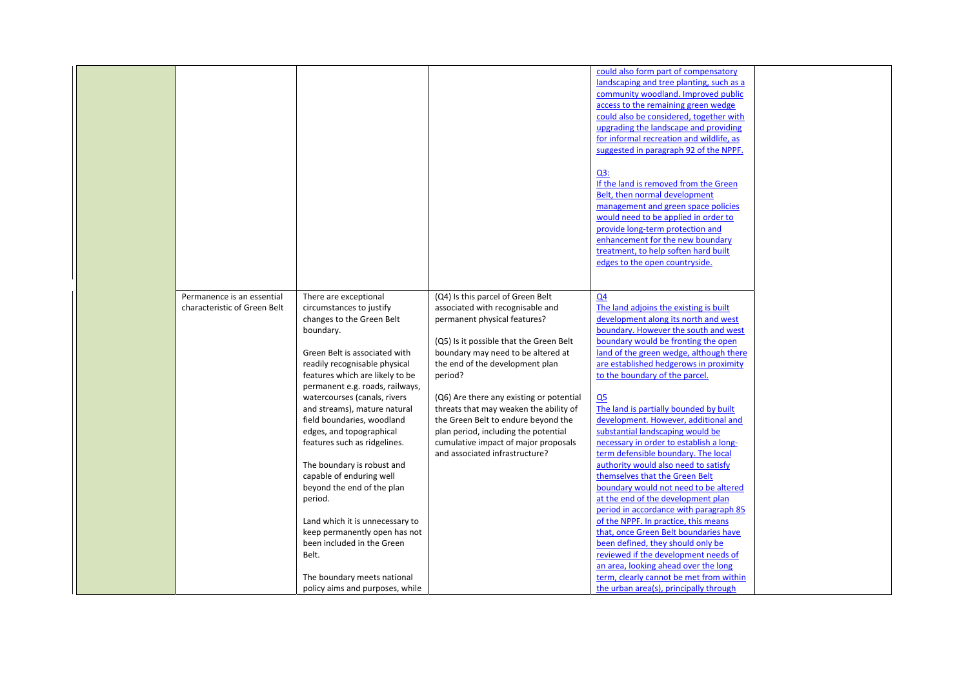|                              |                                 |                                          | could also form part of compensatory     |  |
|------------------------------|---------------------------------|------------------------------------------|------------------------------------------|--|
|                              |                                 |                                          |                                          |  |
|                              |                                 |                                          | landscaping and tree planting, such as a |  |
|                              |                                 |                                          | community woodland. Improved public      |  |
|                              |                                 |                                          | access to the remaining green wedge      |  |
|                              |                                 |                                          | could also be considered, together with  |  |
|                              |                                 |                                          | upgrading the landscape and providing    |  |
|                              |                                 |                                          | for informal recreation and wildlife, as |  |
|                              |                                 |                                          | suggested in paragraph 92 of the NPPF.   |  |
|                              |                                 |                                          |                                          |  |
|                              |                                 |                                          | Q3:                                      |  |
|                              |                                 |                                          | If the land is removed from the Green    |  |
|                              |                                 |                                          | Belt, then normal development            |  |
|                              |                                 |                                          | management and green space policies      |  |
|                              |                                 |                                          | would need to be applied in order to     |  |
|                              |                                 |                                          | provide long-term protection and         |  |
|                              |                                 |                                          | enhancement for the new boundary         |  |
|                              |                                 |                                          | treatment, to help soften hard built     |  |
|                              |                                 |                                          |                                          |  |
|                              |                                 |                                          | edges to the open countryside.           |  |
|                              |                                 |                                          |                                          |  |
|                              |                                 |                                          |                                          |  |
| Permanence is an essential   | There are exceptional           | (Q4) Is this parcel of Green Belt        | Q <sub>4</sub>                           |  |
| characteristic of Green Belt | circumstances to justify        | associated with recognisable and         | The land adjoins the existing is built   |  |
|                              | changes to the Green Belt       | permanent physical features?             | development along its north and west     |  |
|                              | boundary.                       |                                          | boundary. However the south and west     |  |
|                              |                                 | (Q5) Is it possible that the Green Belt  | boundary would be fronting the open      |  |
|                              | Green Belt is associated with   | boundary may need to be altered at       | land of the green wedge, although there  |  |
|                              | readily recognisable physical   | the end of the development plan          | are established hedgerows in proximity   |  |
|                              | features which are likely to be | period?                                  | to the boundary of the parcel.           |  |
|                              | permanent e.g. roads, railways, |                                          |                                          |  |
|                              | watercourses (canals, rivers    | (Q6) Are there any existing or potential | Q <sub>5</sub>                           |  |
|                              | and streams), mature natural    | threats that may weaken the ability of   | The land is partially bounded by built   |  |
|                              |                                 |                                          |                                          |  |
|                              | field boundaries, woodland      | the Green Belt to endure beyond the      | development. However, additional and     |  |
|                              | edges, and topographical        | plan period, including the potential     | substantial landscaping would be         |  |
|                              | features such as ridgelines.    | cumulative impact of major proposals     | necessary in order to establish a long-  |  |
|                              |                                 | and associated infrastructure?           | term defensible boundary. The local      |  |
|                              | The boundary is robust and      |                                          | authority would also need to satisfy     |  |
|                              | capable of enduring well        |                                          | themselves that the Green Belt           |  |
|                              | beyond the end of the plan      |                                          | boundary would not need to be altered    |  |
|                              | period.                         |                                          | at the end of the development plan       |  |
|                              |                                 |                                          | period in accordance with paragraph 85   |  |
|                              | Land which it is unnecessary to |                                          | of the NPPF. In practice, this means     |  |
|                              | keep permanently open has not   |                                          | that, once Green Belt boundaries have    |  |
|                              | been included in the Green      |                                          | been defined, they should only be        |  |
|                              | Belt.                           |                                          | reviewed if the development needs of     |  |
|                              |                                 |                                          | an area, looking ahead over the long     |  |
|                              |                                 |                                          | term, clearly cannot be met from within  |  |
|                              | The boundary meets national     |                                          |                                          |  |
|                              | policy aims and purposes, while |                                          | the urban area(s), principally through   |  |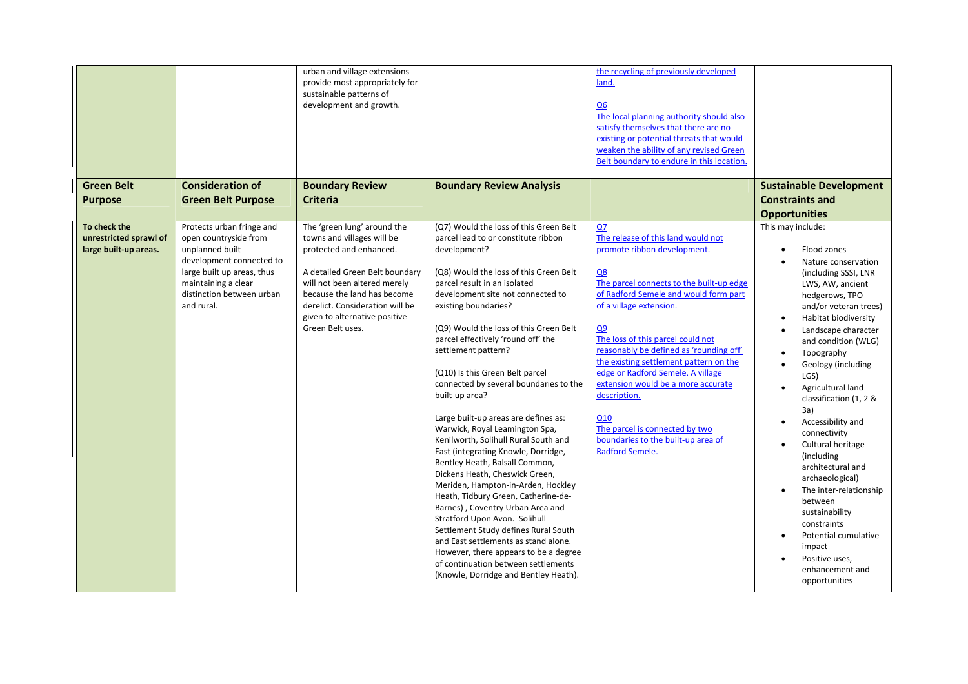|                                                                 |                                                                                                                                                                                                   | urban and village extensions<br>provide most appropriately for<br>sustainable patterns of<br>development and growth.                                                                                                                                                          |                                                                                                                                                                                                                                                                                                                                                                                                                                                                                                                                                                                                                                                                                                                                                                                                                                                                                                                                                                                                                                    | the recycling of previously developed<br>land.<br>Q <sub>6</sub><br>The local planning authority should also<br>satisfy themselves that there are no<br>existing or potential threats that would<br>weaken the ability of any revised Green<br>Belt boundary to endure in this location.                                                                                                                                                                                                                                               |                                                                                                                                                                                                                                                                                                                                                                                                                                                                                                                                                                                                       |
|-----------------------------------------------------------------|---------------------------------------------------------------------------------------------------------------------------------------------------------------------------------------------------|-------------------------------------------------------------------------------------------------------------------------------------------------------------------------------------------------------------------------------------------------------------------------------|------------------------------------------------------------------------------------------------------------------------------------------------------------------------------------------------------------------------------------------------------------------------------------------------------------------------------------------------------------------------------------------------------------------------------------------------------------------------------------------------------------------------------------------------------------------------------------------------------------------------------------------------------------------------------------------------------------------------------------------------------------------------------------------------------------------------------------------------------------------------------------------------------------------------------------------------------------------------------------------------------------------------------------|----------------------------------------------------------------------------------------------------------------------------------------------------------------------------------------------------------------------------------------------------------------------------------------------------------------------------------------------------------------------------------------------------------------------------------------------------------------------------------------------------------------------------------------|-------------------------------------------------------------------------------------------------------------------------------------------------------------------------------------------------------------------------------------------------------------------------------------------------------------------------------------------------------------------------------------------------------------------------------------------------------------------------------------------------------------------------------------------------------------------------------------------------------|
| <b>Green Belt</b><br><b>Purpose</b>                             | <b>Consideration of</b><br><b>Green Belt Purpose</b>                                                                                                                                              | <b>Boundary Review</b><br><b>Criteria</b>                                                                                                                                                                                                                                     | <b>Boundary Review Analysis</b>                                                                                                                                                                                                                                                                                                                                                                                                                                                                                                                                                                                                                                                                                                                                                                                                                                                                                                                                                                                                    |                                                                                                                                                                                                                                                                                                                                                                                                                                                                                                                                        | <b>Sustainable Development</b><br><b>Constraints and</b><br><b>Opportunities</b>                                                                                                                                                                                                                                                                                                                                                                                                                                                                                                                      |
| To check the<br>unrestricted sprawl of<br>large built-up areas. | Protects urban fringe and<br>open countryside from<br>unplanned built<br>development connected to<br>large built up areas, thus<br>maintaining a clear<br>distinction between urban<br>and rural. | The 'green lung' around the<br>towns and villages will be<br>protected and enhanced.<br>A detailed Green Belt boundary<br>will not been altered merely<br>because the land has become<br>derelict. Consideration will be<br>given to alternative positive<br>Green Belt uses. | (Q7) Would the loss of this Green Belt<br>parcel lead to or constitute ribbon<br>development?<br>(Q8) Would the loss of this Green Belt<br>parcel result in an isolated<br>development site not connected to<br>existing boundaries?<br>(Q9) Would the loss of this Green Belt<br>parcel effectively 'round off' the<br>settlement pattern?<br>(Q10) Is this Green Belt parcel<br>connected by several boundaries to the<br>built-up area?<br>Large built-up areas are defines as:<br>Warwick, Royal Leamington Spa,<br>Kenilworth, Solihull Rural South and<br>East (integrating Knowle, Dorridge,<br>Bentley Heath, Balsall Common,<br>Dickens Heath, Cheswick Green,<br>Meriden, Hampton-in-Arden, Hockley<br>Heath, Tidbury Green, Catherine-de-<br>Barnes), Coventry Urban Area and<br>Stratford Upon Avon. Solihull<br>Settlement Study defines Rural South<br>and East settlements as stand alone.<br>However, there appears to be a degree<br>of continuation between settlements<br>(Knowle, Dorridge and Bentley Heath). | Q7<br>The release of this land would not<br>promote ribbon development.<br>Q8<br>The parcel connects to the built-up edge<br>of Radford Semele and would form part<br>of a village extension.<br>Q <sub>9</sub><br>The loss of this parcel could not<br>reasonably be defined as 'rounding off'<br>the existing settlement pattern on the<br>edge or Radford Semele. A village<br>extension would be a more accurate<br>description.<br>Q10<br>The parcel is connected by two<br>boundaries to the built-up area of<br>Radford Semele. | This may include:<br>Flood zones<br>Nature conservation<br>(including SSSI, LNR<br>LWS, AW, ancient<br>hedgerows, TPO<br>and/or veteran trees)<br>Habitat biodiversity<br>Landscape character<br>and condition (WLG)<br>Topography<br>Geology (including<br>LGS)<br>Agricultural land<br>classification (1, 2 &<br>3a)<br>Accessibility and<br>connectivity<br>Cultural heritage<br>(including)<br>architectural and<br>archaeological)<br>The inter-relationship<br>between<br>sustainability<br>constraints<br>Potential cumulative<br>impact<br>Positive uses,<br>enhancement and<br>opportunities |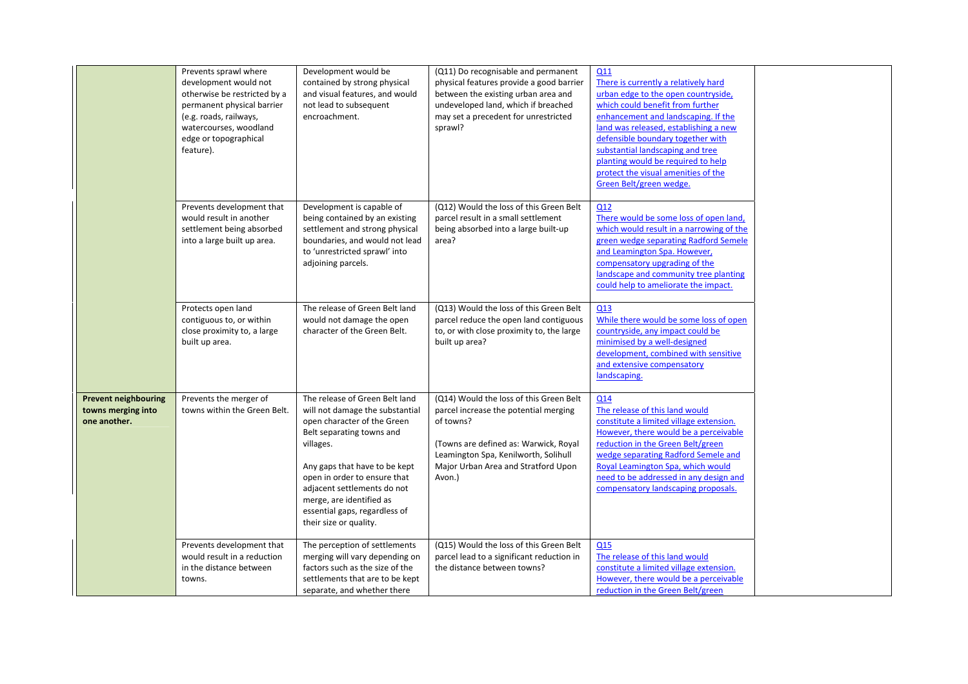|                                                                   | Prevents sprawl where<br>development would not<br>otherwise be restricted by a<br>permanent physical barrier<br>(e.g. roads, railways,<br>watercourses, woodland<br>edge or topographical<br>feature). | Development would be<br>contained by strong physical<br>and visual features, and would<br>not lead to subsequent<br>encroachment.                                                                                                                                                                                                 | (Q11) Do recognisable and permanent<br>physical features provide a good barrier<br>between the existing urban area and<br>undeveloped land, which if breached<br>may set a precedent for unrestricted<br>sprawl?                | Q11<br>There is currently a relatively hard<br>urban edge to the open countryside,<br>which could benefit from further<br>enhancement and landscaping. If the<br>land was released, establishing a new<br>defensible boundary together with<br>substantial landscaping and tree<br>planting would be required to help<br>protect the visual amenities of the<br>Green Belt/green wedge. |  |
|-------------------------------------------------------------------|--------------------------------------------------------------------------------------------------------------------------------------------------------------------------------------------------------|-----------------------------------------------------------------------------------------------------------------------------------------------------------------------------------------------------------------------------------------------------------------------------------------------------------------------------------|---------------------------------------------------------------------------------------------------------------------------------------------------------------------------------------------------------------------------------|-----------------------------------------------------------------------------------------------------------------------------------------------------------------------------------------------------------------------------------------------------------------------------------------------------------------------------------------------------------------------------------------|--|
|                                                                   | Prevents development that<br>would result in another<br>settlement being absorbed<br>into a large built up area.                                                                                       | Development is capable of<br>being contained by an existing<br>settlement and strong physical<br>boundaries, and would not lead<br>to 'unrestricted sprawl' into<br>adjoining parcels.                                                                                                                                            | (Q12) Would the loss of this Green Belt<br>parcel result in a small settlement<br>being absorbed into a large built-up<br>area?                                                                                                 | Q12<br>There would be some loss of open land,<br>which would result in a narrowing of the<br>green wedge separating Radford Semele<br>and Leamington Spa. However,<br>compensatory upgrading of the<br>landscape and community tree planting<br>could help to ameliorate the impact.                                                                                                    |  |
|                                                                   | Protects open land<br>contiguous to, or within<br>close proximity to, a large<br>built up area.                                                                                                        | The release of Green Belt land<br>would not damage the open<br>character of the Green Belt.                                                                                                                                                                                                                                       | (Q13) Would the loss of this Green Belt<br>parcel reduce the open land contiguous<br>to, or with close proximity to, the large<br>built up area?                                                                                | Q13<br>While there would be some loss of open<br>countryside, any impact could be<br>minimised by a well-designed<br>development, combined with sensitive<br>and extensive compensatory<br>landscaping.                                                                                                                                                                                 |  |
| <b>Prevent neighbouring</b><br>towns merging into<br>one another. | Prevents the merger of<br>towns within the Green Belt.                                                                                                                                                 | The release of Green Belt land<br>will not damage the substantial<br>open character of the Green<br>Belt separating towns and<br>villages.<br>Any gaps that have to be kept<br>open in order to ensure that<br>adjacent settlements do not<br>merge, are identified as<br>essential gaps, regardless of<br>their size or quality. | (Q14) Would the loss of this Green Belt<br>parcel increase the potential merging<br>of towns?<br>(Towns are defined as: Warwick, Royal<br>Leamington Spa, Kenilworth, Solihull<br>Major Urban Area and Stratford Upon<br>Avon.) | Q14<br>The release of this land would<br>constitute a limited village extension.<br>However, there would be a perceivable<br>reduction in the Green Belt/green<br>wedge separating Radford Semele and<br>Royal Leamington Spa, which would<br>need to be addressed in any design and<br>compensatory landscaping proposals.                                                             |  |
|                                                                   | Prevents development that<br>would result in a reduction<br>in the distance between<br>towns.                                                                                                          | The perception of settlements<br>merging will vary depending on<br>factors such as the size of the<br>settlements that are to be kept<br>separate, and whether there                                                                                                                                                              | (Q15) Would the loss of this Green Belt<br>parcel lead to a significant reduction in<br>the distance between towns?                                                                                                             | Q15<br>The release of this land would<br>constitute a limited village extension.<br>However, there would be a perceivable<br>reduction in the Green Belt/green                                                                                                                                                                                                                          |  |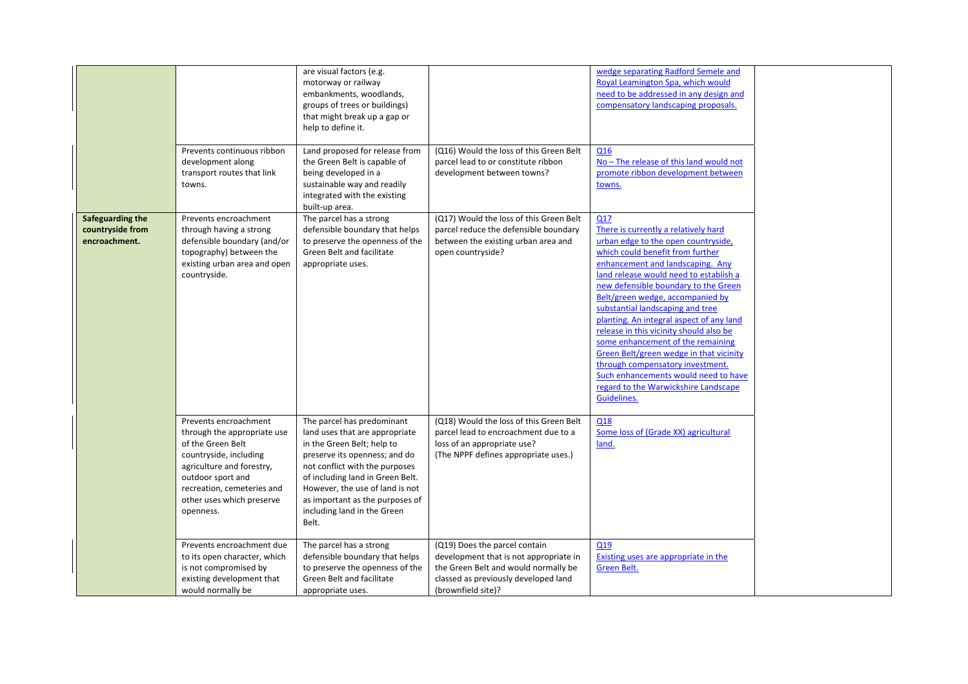|                                                       | Prevents continuous ribbon<br>development along<br>transport routes that link<br>towns.                                                                                                                                       | are visual factors (e.g.<br>motorway or railway<br>embankments, woodlands,<br>groups of trees or buildings)<br>that might break up a gap or<br>help to define it.<br>Land proposed for release from<br>the Green Belt is capable of<br>being developed in a<br>sustainable way and readily<br>integrated with the existing<br>built-up area. | (Q16) Would the loss of this Green Belt<br>parcel lead to or constitute ribbon<br>development between towns?                                                                  | wedge separating Radford Semele and<br>Royal Leamington Spa, which would<br>need to be addressed in any design and<br>compensatory landscaping proposals.<br>Q <sub>16</sub><br>No - The release of this land would not<br>promote ribbon development between<br>towns.                                                                                                                                                                                                                                                                                                                                                        |
|-------------------------------------------------------|-------------------------------------------------------------------------------------------------------------------------------------------------------------------------------------------------------------------------------|----------------------------------------------------------------------------------------------------------------------------------------------------------------------------------------------------------------------------------------------------------------------------------------------------------------------------------------------|-------------------------------------------------------------------------------------------------------------------------------------------------------------------------------|--------------------------------------------------------------------------------------------------------------------------------------------------------------------------------------------------------------------------------------------------------------------------------------------------------------------------------------------------------------------------------------------------------------------------------------------------------------------------------------------------------------------------------------------------------------------------------------------------------------------------------|
| Safeguarding the<br>countryside from<br>encroachment. | Prevents encroachment<br>through having a strong<br>defensible boundary (and/or<br>topography) between the<br>existing urban area and open<br>countryside.                                                                    | The parcel has a strong<br>defensible boundary that helps<br>to preserve the openness of the<br>Green Belt and facilitate<br>appropriate uses.                                                                                                                                                                                               | (Q17) Would the loss of this Green Belt<br>parcel reduce the defensible boundary<br>between the existing urban area and<br>open countryside?                                  | Q17<br>There is currently a relatively hard<br>urban edge to the open countryside,<br>which could benefit from further<br>enhancement and landscaping. Any<br>land release would need to establish a<br>new defensible boundary to the Green<br>Belt/green wedge, accompanied by<br>substantial landscaping and tree<br>planting. An integral aspect of any land<br>release in this vicinity should also be<br>some enhancement of the remaining<br>Green Belt/green wedge in that vicinity<br>through compensatory investment.<br>Such enhancements would need to have<br>regard to the Warwickshire Landscape<br>Guidelines. |
|                                                       | Prevents encroachment<br>through the appropriate use<br>of the Green Belt<br>countryside, including<br>agriculture and forestry,<br>outdoor sport and<br>recreation, cemeteries and<br>other uses which preserve<br>openness. | The parcel has predominant<br>land uses that are appropriate<br>in the Green Belt; help to<br>preserve its openness; and do<br>not conflict with the purposes<br>of including land in Green Belt.<br>However, the use of land is not<br>as important as the purposes of<br>including land in the Green<br>Belt.                              | (Q18) Would the loss of this Green Belt<br>parcel lead to encroachment due to a<br>loss of an appropriate use?<br>(The NPPF defines appropriate uses.)                        | Q18<br>Some loss of (Grade XX) agricultural<br>land.                                                                                                                                                                                                                                                                                                                                                                                                                                                                                                                                                                           |
|                                                       | Prevents encroachment due<br>to its open character, which<br>is not compromised by<br>existing development that<br>would normally be                                                                                          | The parcel has a strong<br>defensible boundary that helps<br>to preserve the openness of the<br>Green Belt and facilitate<br>appropriate uses.                                                                                                                                                                                               | (Q19) Does the parcel contain<br>development that is not appropriate in<br>the Green Belt and would normally be<br>classed as previously developed land<br>(brownfield site)? | Q19<br>Existing uses are appropriate in the<br>Green Belt.                                                                                                                                                                                                                                                                                                                                                                                                                                                                                                                                                                     |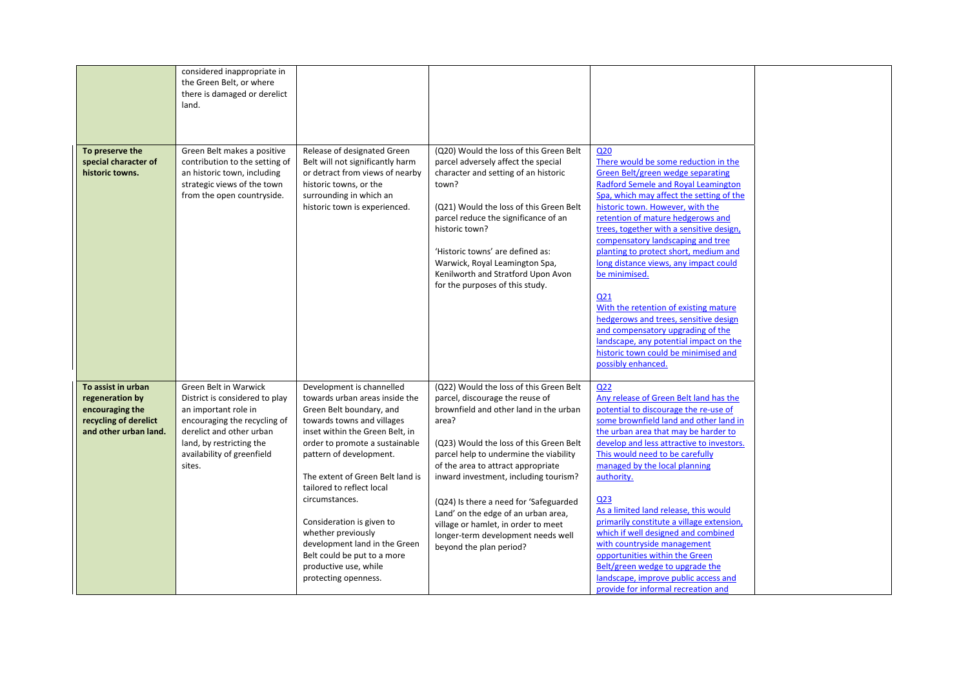|                                                                                                            | considered inappropriate in<br>the Green Belt, or where<br>there is damaged or derelict<br>land.                                                                                                                |                                                                                                                                                                                                                                                                                                                                                                                                                                                                              |                                                                                                                                                                                                                                                                                                                                                                                                                                                                                            |                                                                                                                                                                                                                                                                                                                                                                                                                                                                                                                                                                                                                                                                                                  |  |
|------------------------------------------------------------------------------------------------------------|-----------------------------------------------------------------------------------------------------------------------------------------------------------------------------------------------------------------|------------------------------------------------------------------------------------------------------------------------------------------------------------------------------------------------------------------------------------------------------------------------------------------------------------------------------------------------------------------------------------------------------------------------------------------------------------------------------|--------------------------------------------------------------------------------------------------------------------------------------------------------------------------------------------------------------------------------------------------------------------------------------------------------------------------------------------------------------------------------------------------------------------------------------------------------------------------------------------|--------------------------------------------------------------------------------------------------------------------------------------------------------------------------------------------------------------------------------------------------------------------------------------------------------------------------------------------------------------------------------------------------------------------------------------------------------------------------------------------------------------------------------------------------------------------------------------------------------------------------------------------------------------------------------------------------|--|
| To preserve the<br>special character of<br>historic towns.                                                 | Green Belt makes a positive<br>contribution to the setting of<br>an historic town, including<br>strategic views of the town<br>from the open countryside.                                                       | Release of designated Green<br>Belt will not significantly harm<br>or detract from views of nearby<br>historic towns, or the<br>surrounding in which an<br>historic town is experienced.                                                                                                                                                                                                                                                                                     | (Q20) Would the loss of this Green Belt<br>parcel adversely affect the special<br>character and setting of an historic<br>town?<br>(Q21) Would the loss of this Green Belt<br>parcel reduce the significance of an<br>historic town?<br>'Historic towns' are defined as:<br>Warwick, Royal Leamington Spa,<br>Kenilworth and Stratford Upon Avon<br>for the purposes of this study.                                                                                                        | Q <sub>20</sub><br>There would be some reduction in the<br><b>Green Belt/green wedge separating</b><br><b>Radford Semele and Royal Leamington</b><br>Spa, which may affect the setting of the<br>historic town. However, with the<br>retention of mature hedgerows and<br>trees, together with a sensitive design,<br>compensatory landscaping and tree<br>planting to protect short, medium and<br>long distance views, any impact could<br>be minimised.<br>Q21<br>With the retention of existing mature<br>hedgerows and trees, sensitive design<br>and compensatory upgrading of the<br>landscape, any potential impact on the<br>historic town could be minimised and<br>possibly enhanced. |  |
| To assist in urban<br>regeneration by<br>encouraging the<br>recycling of derelict<br>and other urban land. | Green Belt in Warwick<br>District is considered to play<br>an important role in<br>encouraging the recycling of<br>derelict and other urban<br>land, by restricting the<br>availability of greenfield<br>sites. | Development is channelled<br>towards urban areas inside the<br>Green Belt boundary, and<br>towards towns and villages<br>inset within the Green Belt, in<br>order to promote a sustainable<br>pattern of development.<br>The extent of Green Belt land is<br>tailored to reflect local<br>circumstances.<br>Consideration is given to<br>whether previously<br>development land in the Green<br>Belt could be put to a more<br>productive use, while<br>protecting openness. | (Q22) Would the loss of this Green Belt<br>parcel, discourage the reuse of<br>brownfield and other land in the urban<br>area?<br>(Q23) Would the loss of this Green Belt<br>parcel help to undermine the viability<br>of the area to attract appropriate<br>inward investment, including tourism?<br>(Q24) Is there a need for 'Safeguarded<br>Land' on the edge of an urban area,<br>village or hamlet, in order to meet<br>longer-term development needs well<br>beyond the plan period? | Q22<br>Any release of Green Belt land has the<br>potential to discourage the re-use of<br>some brownfield land and other land in<br>the urban area that may be harder to<br>develop and less attractive to investors.<br>This would need to be carefully<br>managed by the local planning<br>authority.<br>Q <sub>23</sub><br>As a limited land release, this would<br>primarily constitute a village extension,<br>which if well designed and combined<br>with countryside management<br>opportunities within the Green<br>Belt/green wedge to upgrade the<br>landscape, improve public access and<br>provide for informal recreation and                                                       |  |